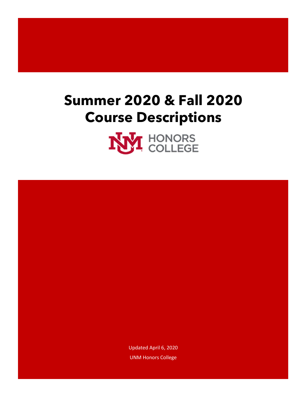# **Summer 2020 & Fall 2020 Course Descriptions**



Updated April 6, 2020 UNM Honors College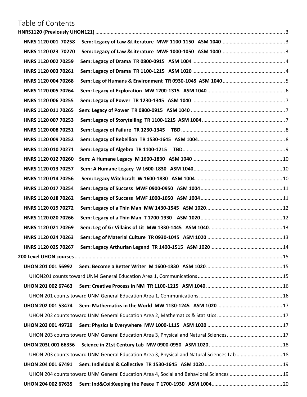### Table of Contents

| HNRS 1120 001 70258        |                                                                                            |  |
|----------------------------|--------------------------------------------------------------------------------------------|--|
| HNRS 1120 023 70270        |                                                                                            |  |
| HNRS 1120 002 70259        |                                                                                            |  |
| HNRS 1120 003 70261        |                                                                                            |  |
| HNRS 1120 004 70268        |                                                                                            |  |
| HNRS 1120 005 70264        |                                                                                            |  |
| HNRS 1120 006 70255        |                                                                                            |  |
| HNRS 1120 011 70265        |                                                                                            |  |
| HNRS 1120 007 70253        |                                                                                            |  |
| HNRS 1120 008 70251        |                                                                                            |  |
| HNRS 1120 009 70252        |                                                                                            |  |
| HNRS 1120 010 70271        |                                                                                            |  |
| HNRS 1120 012 70260        |                                                                                            |  |
| HNRS 1120 013 70257        |                                                                                            |  |
| HNRS 1120 014 70256        |                                                                                            |  |
| HNRS 1120 017 70254        |                                                                                            |  |
| HNRS 1120 018 70262        |                                                                                            |  |
| HNRS 1120 019 70272        |                                                                                            |  |
| HNRS 1120 020 70266        |                                                                                            |  |
| HNRS 1120 021 70269        |                                                                                            |  |
| HNRS 1120 024 70263        |                                                                                            |  |
| HNRS 1120 025 70267        |                                                                                            |  |
|                            |                                                                                            |  |
| <b>UHON 201 001 56992</b>  |                                                                                            |  |
|                            |                                                                                            |  |
| <b>UHON 201 002 67463</b>  |                                                                                            |  |
|                            |                                                                                            |  |
| <b>UHON 202 001 53474</b>  |                                                                                            |  |
|                            |                                                                                            |  |
| <b>UHON 203 001 49729</b>  |                                                                                            |  |
|                            |                                                                                            |  |
| <b>UHON 203L 001 66356</b> |                                                                                            |  |
|                            | UHON 203 counts toward UNM General Education Area 3, Physical and Natural Sciences Lab  18 |  |
| <b>UHON 204 001 67491</b>  |                                                                                            |  |
|                            | UHON 204 counts toward UNM General Education Area 4, Social and Behavioral Sciences  19    |  |
| UHON 204 002 67635         |                                                                                            |  |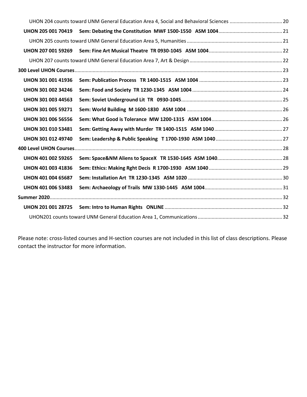|                           | UHON 204 counts toward UNM General Education Area 4, Social and Behavioral Sciences  20 |  |
|---------------------------|-----------------------------------------------------------------------------------------|--|
|                           |                                                                                         |  |
|                           |                                                                                         |  |
| <b>UHON 207 001 59269</b> |                                                                                         |  |
|                           |                                                                                         |  |
|                           |                                                                                         |  |
| <b>UHON 301 001 41936</b> |                                                                                         |  |
| UHON 301 002 34246        |                                                                                         |  |
| <b>UHON 301 003 44563</b> |                                                                                         |  |
| <b>UHON 301 005 59271</b> |                                                                                         |  |
| <b>UHON 301 006 56556</b> |                                                                                         |  |
| UHON 301 010 53481        |                                                                                         |  |
| <b>UHON 301 012 49740</b> |                                                                                         |  |
|                           |                                                                                         |  |
| <b>UHON 401 002 59265</b> |                                                                                         |  |
| UHON 401 003 41836        |                                                                                         |  |
| <b>UHON 401 004 65687</b> |                                                                                         |  |
| <b>UHON 401 006 53483</b> |                                                                                         |  |
|                           |                                                                                         |  |
|                           |                                                                                         |  |
|                           |                                                                                         |  |

Please note: cross-listed courses and H-section courses are not included in this list of class descriptions. Please contact the instructor for more information.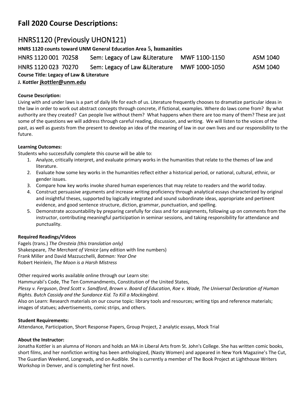### **Fall 2020 Course Descriptions:**

### <span id="page-3-0"></span>HNRS1120 (Previously UHON121)

**HNRS 1120 counts toward UNM General Education Area 5, humanities**

<span id="page-3-2"></span><span id="page-3-1"></span>HNRS 1120 001 70258 Sem: Legacy of Law &Literature MWF 1100-1150 ASM 1040 HNRS 1120 023 70270 Sem: Legacy of Law &Literature MWF 1000-1050 ASM 1040 **Course Title: Legacy of Law & Literature J. Kottler [jkottler@unm.edu](mailto:jkottler@unm.edu)**

#### **Course Description:**

Living with and under laws is a part of daily life for each of us. Literature frequently chooses to dramatize particular ideas in the law in order to work out abstract concepts through concrete, if fictional, examples. Where do laws come from? By what authority are they created? Can people live without them? What happens when there are too many of them? These are just some of the questions we will address through careful reading, discussion, and writing. We will listen to the voices of the past, as well as guests from the present to develop an idea of the meaning of law in our own lives and our responsibility to the future.

#### **Learning Outcomes:**

Students who successfully complete this course will be able to:

- 1. Analyze, critically interpret, and evaluate primary works in the humanities that relate to the themes of law and literature.
- 2. Evaluate how some key works in the humanities reflect either a historical period, or national, cultural, ethnic, or gender issues.
- 3. Compare how key works invoke shared human experiences that may relate to readers and the world today.
- 4. Construct persuasive arguments and increase writing proficiency through analytical essays characterized by original and insightful theses, supported by logically integrated and sound subordinate ideas, appropriate and pertinent evidence, and good sentence structure, diction, grammar, punctuation, and spelling.
- 5. Demonstrate accountability by preparing carefully for class and for assignments, following up on comments from the instructor, contributing meaningful participation in seminar sessions, and taking responsibility for attendance and punctuality.

#### **Required Readings/Videos**

Fagels (trans.) *The Oresteia (this translation only)* Shakespeare, *The Merchant of Venice* (any edition with line numbers) Frank Miller and David Mazzucchelli, *Batman: Year One* Robert Heinlein, *The Moon is a Harsh Mistress*

Other required works available online through our Learn site:

Hammurabi's Code, The Ten Commandments, Constitution of the United States,

*Plessy v. Ferguson*, *Dred Scott v. Sandford*, *Brown v. Board of Education*, *Roe v. Wade, The Universal Declaration of Human Rights. Butch Cassidy and the Sundance Kid. To Kill a Mockingbird.*

Also on Learn: Research materials on our course topic: library tools and resources; writing tips and reference materials; images of statues; advertisements, comic strips, and others.

#### **Student Requirements:**

Attendance, Participation, Short Response Papers, Group Project, 2 analytic essays, Mock Trial

#### **About the Instructor:**

Jonatha Kottler is an alumna of Honors and holds an MA in Liberal Arts from St. John's College. She has written comic books, short films, and her nonfiction writing has been anthologized, (Nasty Women) and appeared in New York Magazine's The Cut, The Guardian Weekend, Longreads, and on Audible. She is currently a member of The Book Project at Lighthouse Writers Workshop in Denver, and is completing her first novel.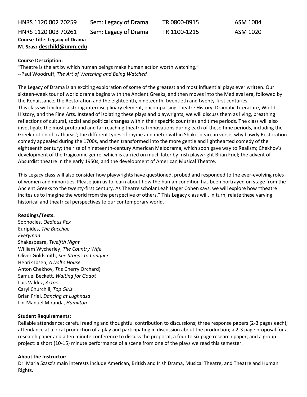### <span id="page-4-1"></span><span id="page-4-0"></span>HNRS 1120 002 70259 Sem: Legacy of Drama TR 0800-0915 ASM 1004 HNRS 1120 003 70261 Sem: Legacy of Drama TR 1100-1215 ASM 1020 **Course Title: Legacy of Drama M. Szasz [deschild@unm.edu](mailto:deschild@unm.edu)**

#### **Course Description:**

"Theatre is the art by which human beings make human action worth watching."

--Paul Woodruff, *The Art of Watching and Being Watched*

The Legacy of Drama is an exciting exploration of some of the greatest and most influential plays ever written. Our sixteen-week tour of world drama begins with the Ancient Greeks, and then moves into the Medieval era, followed by the Renaissance, the Restoration and the eighteenth, nineteenth, twentieth and twenty-first centuries. This class will include a strong interdisciplinary element, encompassing Theatre History, Dramatic Literature, World History, and the Fine Arts. Instead of isolating these plays and playwrights, we will discuss them as living, breathing reflections of cultural, social and political changes within their specific countries and time periods. The class will also investigate the most profound and far-reaching theatrical innovations during each of these time periods, including the Greek notion of 'catharsis'; the different types of rhyme and meter within Shakespearean verse; why bawdy Restoration comedy appealed during the 1700s, and then transformed into the more gentle and lighthearted comedy of the eighteenth century; the rise of nineteenth-century American Melodrama, which soon gave way to Realism; Chekhov's development of the tragicomic genre, which is carried on much later by Irish playwright Brian Friel; the advent of Absurdist theatre in the early 1950s, and the development of American Musical Theatre.

This Legacy class will also consider how playwrights have questioned, probed and responded to the ever-evolving roles of women and minorities. Please join us to learn about how the human condition has been portrayed on stage from the Ancient Greeks to the twenty-first century. As Theatre scholar Leah Hager Cohen says, we will explore how "theatre incites us to imagine the world from the perspective of others." This Legacy class will, in turn, relate these varying historical and theatrical perspectives to our contemporary world.

#### **Readings/Texts:**

Sophocles, *Oedipus Rex* Euripides, *The Bacchae Everyman* Shakespeare, *Twelfth Night* William Wycherley, *The Country Wife* Oliver Goldsmith, *She Stoops to Conquer* Henrik Ibsen, *A Doll's House* Anton Chekhov, *The* Cherry Orchard) Samuel Beckett, *Waiting for Godot* Luis Valdez, *Actos* Caryl Churchill, *Top Girls* Brian Friel, *Dancing at Lughnasa* Lin-Manuel Miranda, *Hamilton*

#### **Student Requirements:**

Reliable attendance; careful reading and thoughtful contribution to discussions; three response papers (2-3 pages each); attendance at a local production of a play and participating in discussion about the production; a 2-3 page proposal for a research paper and a ten minute conference to discuss the proposal; a four to six page research paper; and a group project: a short (10-15) minute performance of a scene from one of the plays we read this semester.

#### **About the Instructor:**

Dr. Maria Szasz's main interests include American, British and Irish Drama, Musical Theatre, and Theatre and Human Rights.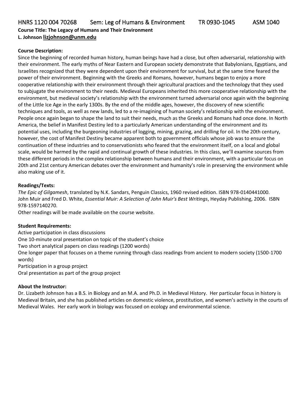<span id="page-5-0"></span>HNRS 1120 004 70268 Sem: Leg of Humans & Environment TR 0930-1045 ASM 1040

**Course Title: The Legacy of Humans and Their Environment L. Johnson [lizjohnson@unm.edu](mailto:lizjohnson@unm.edu)**

#### **Course Description:**

Since the beginning of recorded human history, human beings have had a close, but often adversarial, relationship with their environment. The early myths of Near Eastern and European society demonstrate that Babylonians, Egyptians, and Israelites recognized that they were dependent upon their environment for survival, but at the same time feared the power of their environment. Beginning with the Greeks and Romans, however, humans began to enjoy a more cooperative relationship with their environment through their agricultural practices and the technology that they used to subjugate the environment to their needs. Medieval Europeans inherited this more cooperative relationship with the environment, but medieval society's relationship with the environment turned adversarial once again with the beginning of the Little Ice Age in the early 1300s. By the end of the middle ages, however, the discovery of new scientific techniques and tools, as well as new lands, led to a re-imagining of human society's relationship with the environment. People once again began to shape the land to suit their needs, much as the Greeks and Romans had once done. In North America, the belief in Manifest Destiny led to a particularly American understanding of the environment and its potential uses, including the burgeoning industries of logging, mining, grazing, and drilling for oil. In the 20th century, however, the cost of Manifest Destiny became apparent both to government officials whose job was to ensure the continuation of these industries and to conservationists who feared that the environment itself, on a local and global scale, would be harmed by the rapid and continual growth of these industries. In this class, we'll examine sources from these different periods in the complex relationship between humans and their environment, with a particular focus on 20th and 21st century American debates over the environment and humanity's role in preserving the environment while also making use of it.

#### **Readings/Texts:**

*The Epic of Gilgamesh*, translated by N.K. Sandars, Penguin Classics, 1960 revised edition. ISBN 978-0140441000. John Muir and Fred D. White, *Essential Muir: A Selection of John Muir's Best Writings*, Heyday Publishing, 2006. ISBN 978-1597140270.

Other readings will be made available on the course website.

#### **Student Requirements:**

Active participation in class discussions One 10-minute oral presentation on topic of the student's choice Two short analytical papers on class readings (1200 words) One longer paper that focuses on a theme running through class readings from ancient to modern society (1500-1700 words) Participation in a group project

Oral presentation as part of the group project

#### **About the Instructor:**

Dr. Lizabeth Johnson has a B.S. in Biology and an M.A. and Ph.D. in Medieval History. Her particular focus in history is Medieval Britain, and she has published articles on domestic violence, prostitution, and women's activity in the courts of Medieval Wales. Her early work in biology was focused on ecology and environmental science.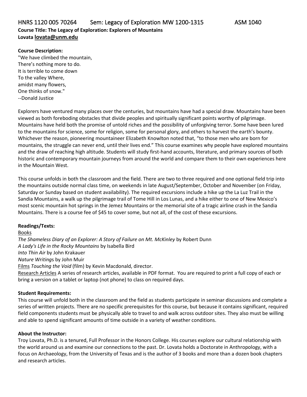#### <span id="page-6-0"></span>**Course Description:**

"We have climbed the mountain, There's nothing more to do. It is terrible to come down To the valley Where, amidst many flowers, One thinks of snow." --Donald Justice

Explorers have ventured many places over the centuries, but mountains have had a special draw. Mountains have been viewed as both foreboding obstacles that divide peoples and spiritually significant points worthy of pilgrimage. Mountains have held both the promise of untold riches and the possibility of unforgiving terror. Some have been lured to the mountains for science, some for religion, some for personal glory, and others to harvest the earth's bounty. Whichever the reason, pioneering mountaineer Elizabeth Knowlton noted that, "to those men who are born for mountains, the struggle can never end, until their lives end." This course examines why people have explored mountains and the draw of reaching high altitude. Students will study first-hand accounts, literature, and primary sources of both historic and contemporary mountain journeys from around the world and compare them to their own experiences here in the Mountain West.

This course unfolds in both the classroom and the field. There are two to three required and one optional field trip into the mountains outside normal class time, on weekends in late August/September, October and November (on Friday, Saturday or Sunday based on student availability). The required excursions include a hike up the La Luz Trail in the Sandia Mountains, a walk up the pilgrimage trail of Tome Hill in Los Lunas, and a hike either to one of New Mexico's most scenic mountain hot springs in the Jemez Mountains or the memorial site of a tragic airline crash in the Sandia Mountains. There is a course fee of \$45 to cover some, but not all, of the cost of these excursions.

#### **Readings/Texts:**

Books *The Shameless Diary of an Explorer: A Story of Failure on Mt. McKinley* by Robert Dunn *A Lady's Life in the Rocky Mountains* by Isabella Bird *Into Thin Air* by John Krakauer *Nature Writing*s by John Muir Films *Touching the Void* (film) by Kevin Macdonald, director. Research Articles A series of research articles, available in PDF format. You are required to print a full copy of each or bring a version on a tablet or laptop (not phone) to class on required days.

#### **Student Requirements:**

This course will unfold both in the classroom and the field as students participate in seminar discussions and complete a series of written projects. There are no specific prerequisites for this course, but because it contains significant, required field components students must be physically able to travel to and walk across outdoor sites. They also must be willing and able to spend significant amounts of time outside in a variety of weather conditions.

#### **About the Instructor:**

Troy Lovata, Ph.D. is a tenured, Full Professor in the Honors College. His courses explore our cultural relationship with the world around us and examine our connections to the past. Dr. Lovata holds a Doctorate in Anthropology, with a focus on Archaeology, from the University of Texas and is the author of 3 books and more than a dozen book chapters and research articles.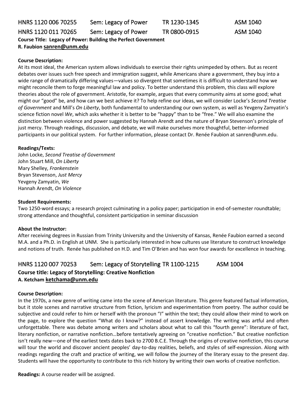<span id="page-7-1"></span><span id="page-7-0"></span>HNRS 1120 006 70255 Sem: Legacy of Power TR 1230-1345 ASM 1040 HNRS 1120 011 70265 Sem: Legacy of Power TR 0800-0915 ASM 1040 **Course Title: Legacy of Power: Building the Perfect Government R. Faubion [sanren@unm.edu](mailto:sanren@unm.edu)**

#### **Course Description:**

At its most ideal, the American system allows individuals to exercise their rights unimpeded by others. But as recent debates over issues such free speech and immigration suggest, while Americans share a government, they buy into a wide range of dramatically differing values—values so divergent that sometimes it is difficult to understand how we might reconcile them to forge meaningful law and policy. To better understand this problem, this class will explore theories about the role of government. Aristotle, for example, argues that every community aims at some good; what might our "good" be, and how can we best achieve it? To help refine our ideas, we will consider Locke's *Second Treatise of Government* and Mill's *On Liberty*, both fundamental to understanding our own system, as well as Yevgeny Zamyatin's science fiction novel *We*, which asks whether it is better to be "happy" than to be "free." We will also examine the distinction between violence and power suggested by Hannah Arendt and the nature of Bryan Stevenson's principle of just mercy. Through readings, discussion, and debate, we will make ourselves more thoughtful, better-informed participants in our political system. For further information, please contact Dr. Renée Faubion at sanren@unm.edu.

#### **Readings/Texts:**

John Locke, *Second Treatise of Government* John Stuart Mill, *On Liberty* Mary Shelley, *Frankenstein* Bryan Stevenson, *Just Mercy* Yevgeny Zamyatin, *We* Hannah Arendt, *On Violence*

#### **Student Requirements:**

Two 1250-word essays; a research project culminating in a policy paper; participation in end-of-semester roundtable; strong attendance and thoughtful, consistent participation in seminar discussion

#### **About the Instructor:**

After receiving degrees in Russian from Trinity University and the University of Kansas, Renée Faubion earned a second M.A. and a Ph.D. in English at UNM. She is particularly interested in how cultures use literature to construct knowledge and notions of truth. Renée has published on H.D. and Tim O'Brien and has won four awards for excellence in teaching.

## <span id="page-7-2"></span>HNRS 1120 007 70253 Sem: Legacy of Storytelling TR 1100-1215 ASM 1004

#### **Course title: Legacy of Storytelling: Creative Nonfiction A. Ketcham [ketchama@unm.edu](mailto:ketchama@unm.edu)**

#### **Course Description:**

In the 1970s, a new genre of writing came into the scene of American literature. This genre featured factual information, but it stole scenes and narrative structure from fiction, lyricism and experimentation from poetry. The author could be subjective and could refer to him or herself with the pronoun "I" within the text; they could allow their mind to work on the page, to explore the question "What do I know?" instead of assert knowledge. The writing was artful and often unforgettable. There was debate among writers and scholars about what to call this "fourth genre": literature of fact, literary nonfiction, or narrative nonfiction…before tentatively agreeing on "creative nonfiction." But creative nonfiction isn't really new—one of the earliest texts dates back to 2700 B.C.E. Through the origins of creative nonfiction, this course will tour the world and discover ancient peoples' day-to-day realities, beliefs, and styles of self-expression. Along with readings regarding the craft and practice of writing, we will follow the journey of the literary essay to the present day. Students will have the opportunity to contribute to this rich history by writing their own works of creative nonfiction.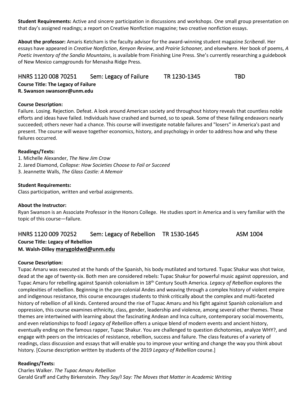**Student Requirements:** Active and sincere participation in discussions and workshops. One small group presentation on that day's assigned readings; a report on Creative Nonfiction magazine; two creative nonfiction essays.

**About the professor:** Amaris Ketcham is the faculty advisor for the award-winning student magazine *Scribendi*. Her essays have appeared in *Creative Nonfiction*,*Kenyon Review*, and *Prairie Schooner,* and elsewhere. Her book of poems, *A Poetic Inventory of the Sandia Mountains*, is available from Finishing Line Press. She's currently researching a guidebook of New Mexico campgrounds for Menasha Ridge Press.

### <span id="page-8-0"></span>HNRS 1120 008 70251 Sem: Legacy of Failure TR 1230-1345 TBD **Course Title: The Legacy of Failure R. Swanson swansonr@unm.edu**

#### **Course Description:**

Failure. Losing. Rejection. Defeat. A look around American society and throughout history reveals that countless noble efforts and ideas have failed. Individuals have crashed and burned, so to speak. Some of these failing endeavors nearly succeeded; others never had a chance. This course will investigate notable failures and "losers" in America's past and present. The course will weave together economics, history, and psychology in order to address how and why these failures occurred.

#### **Readings/Texts:**

- 1. Michelle Alexander, *The New Jim Crow*
- 2. Jared Diamond, *Collapse: How Societies Choose to Fail or Succeed*
- 3. Jeannette Walls, *The Glass Castle: A Memoir*

#### **Student Requirements:**

Class participation, written and verbal assignments.

#### **About the Instructor:**

Ryan Swanson is an Associate Professor in the Honors College. He studies sport in America and is very familiar with the topic of this course—failure.

#### <span id="page-8-1"></span>HNRS 1120 009 70252 Sem: Legacy of Rebellion TR 1530-1645 ASM 1004 **Course Title: Legacy of Rebellion M. Walsh-Dilley [marygoldwd@unm.edu](mailto:marygoldwd@unm.edu)**

#### **Course Description:**

Tupac Amaru was executed at the hands of the Spanish, his body mutilated and tortured. Tupac Shakur was shot twice, dead at the age of twenty-six. Both men are considered rebels: Tupac Shakur for powerful music against oppression, and Tupac Amaru for rebelling against Spanish colonialism in 18th Century South America. *Legacy of Rebellion* explores the complexities of rebellion. Beginning in the pre-colonial Andes and weaving through a complex history of violent empire and indigenous resistance, this course encourages students to think critically about the complex and multi-faceted history of rebellion of all kinds. Centered around the rise of Tupac Amaru and his fight against Spanish colonialism and oppression, this course examines ethnicity, class, gender, leadership and violence, among several other themes. These themes are intertwined with learning about the fascinating Andean and Inca culture, contemporary social movements, and even relationships to food! *Legacy of Rebellion* offers a unique blend of modern events and ancient history, eventually ending on the famous rapper, Tupac Shakur. You are challenged to question dichotomies, analyze WHY?, and engage with peers on the intricacies of resistance, rebellion, success and failure. The class features of a variety of readings, class discussion and essays that will enable you to improve your writing and change the way you think about history. [Course description written by students of the 2019 *Legacy of Rebellion* course.]

#### **Readings/Texts:**

Charles Walker. *The Tupac Amaru Rebellion* Gerald Graff and Cathy Birkenstein. *They Say/I Say: The Moves that Matter in Academic Writing*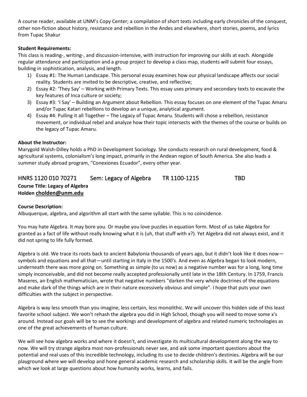A course reader, available at UNM's Copy Center; a compilation of short texts including early chronicles of the conquest, other non-fiction about history, resistance and rebellion in the Andes and elsewhere, short stories, poems, and lyrics from Tupac Shakur

#### **Student Requirements:**

This class is reading-, writing-, and discussion-intensive, with instruction for improving our skills at each. Alongside regular attendance and participation and a group project to develop a class map, students will submit four essays, building in sophistication, analysis, and length.

- 1) Essay #1: The Human Landscape. This personal essay examines how our physical landscape affects our social reality. Students are invited to be descriptive, creative, and reflective;
- 2) Essay #2: 'They Say' Working with Primary Texts. This essay uses primary and secondary texts to excavate the key features of Inca culture or society;
- 3) Essay #3: 'I Say' Building an Argument about Rebellion. This essay focuses on one element of the Tupac Amaru and/or Tupac Katari rebellions to develop an a unique, analytical argument.
- 4) Essay #4: Pulling it all Together The Legacy of Tupac Amaru. Students will chose a rebellion, resistance movement, or individual rebel and analyze how their topic intersects with the themes of the course or builds on the legacy of Tupac Amaru.

#### **About the Instructor:**

Marygold Walsh-Dilley holds a PhD in Development Sociology. She conducts research on rural development, food & agricultural systems, colonialism's long impact, primarily in the Andean region of South America. She also leads a summer study abroad program, "Conexiones Ecuador", every other year.

### <span id="page-9-0"></span>HNRS 1120 010 70271 Sem: Legacy of Algebra TR 1100-1215 TBD **Course Title: Legacy of Algebra Holden [cholden@unm.edu](mailto:cholden@unm.edu)**

#### **Course Description:**

Albuquerque, algebra, and algorithm all start with the same syllable. This is no coincidence.

You may hate Algebra. It may bore you. Or maybe you love puzzles in equation form. Most of us take Algebra for granted as a fact of life without really knowing what it is (uh, that stuff with x?). Yet Algebra did not always exist, and it did not spring to life fully formed.

Algebra is old. We trace its roots back to ancient Babylonia thousands of years ago, but it didn't look like it does now symbols and equations and all that—until starting in Italy in the 1500's. And even as Algebra began to look modern, underneath there was more going on. Something as simple (to us now) as a negative number was for a long, long time simply inconceivable, and did not become really accepted professionally until late in the 18th Century. In 1759, Francis Maseres, an English mathematician, wrote that negative numbers "darken the very whole doctrines of the equations and make dark of the things which are in their nature excessively obvious and simple". I hope that puts your own difficulties with the subject in perspective.

Algebra is way less smooth than you imagine, less certain, less monolithic. We will uncover this hidden side of this least favorite school subject. We won't rehash the algebra you did in High School, though you will need to move some x's around. Instead our goals will be to see the workings and development of algebra and related numeric technologies as one of the great achievements of human culture.

We will see how algebra works and where it doesn't, and investigate its multicultural development along the way to now. We will try strange algebra most non-professionals never see, and ask some important questions about the potential and real uses of this incredible technology, including its use to decide children's destinies. Algebra will be our playground where we will develop and hone general academic research and scholarship skills. It will be the angle from which we look at large questions about how humanity works, learns, and fails.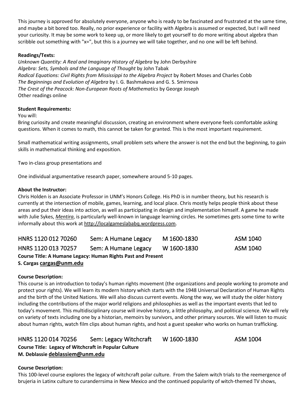This journey is approved for absolutely everyone, anyone who is ready to be fascinated and frustrated at the same time, and maybe a bit bored too. Really, no prior experience or facility with Algebra is assumed or expected, but I will need your curiosity. It may be some work to keep up, or more likely to get yourself to do more writing about algebra than scribble out something with "x=", but this is a journey we will take together, and no one will be left behind.

#### **Readings/Texts:**

*Unknown Quantity: A Real and Imaginary History of Algebra* by John Derbyshire *Algebra: Sets, Symbols and the Language of Thought* by John Tabak *Radical Equations: Civil Rights from Mississippi to the Algebra Project* by Robert Moses and Charles Cobb *The Beginnings and Evolution of Algebra* by I. G. Bashmakova and G. S. Smirnova *The Crest of the Peacock: Non-European Roots of Mathematics* by George Joseph Other readings online

#### **Student Requirements:**

#### You will:

Bring curiosity and create meaningful discussion, creating an environment where everyone feels comfortable asking questions. When it comes to math, this cannot be taken for granted. This is the most important requirement.

Small mathematical writing assignments, small problem sets where the answer is not the end but the beginning, to gain skills in mathematical thinking and exposition.

Two in-class group presentations and

One individual argumentative research paper, somewhere around 5-10 pages.

#### **About the Instructor:**

Chris Holden is an Associate Professor in UNM's Honors College. His PhD is in number theory, but his research is currently at the intersection of mobile, games, learning, and local place. Chris mostly helps people think about these areas and put their ideas into action, as well as participating in design and implementation himself. A game he made with Julie Sykes, *[Mentira](http://www.mentira.org/)*, is particularly well-known in language learning circles. He sometimes gets some time to write informally about this work at [http://localgameslababq.wordpress.com.](http://localgameslababq.wordpress.com/)

<span id="page-10-1"></span><span id="page-10-0"></span>

| HNRS 1120 012 70260                                                 | Sem: A Humane Legacy | M 1600-1830 | ASM 1040 |  |  |
|---------------------------------------------------------------------|----------------------|-------------|----------|--|--|
| HNRS 1120 013 70257                                                 | Sem: A Humane Legacy | W 1600-1830 | ASM 1040 |  |  |
| <b>Course Title: A Humane Legacy: Human Rights Past and Present</b> |                      |             |          |  |  |
| S. Cargas cargas@unm.edu                                            |                      |             |          |  |  |

#### **Course Description:**

This course is an introduction to today's human rights movement (the organizations and people working to promote and protect your rights). We will learn its modern history which starts with the 1948 Universal Declaration of Human Rights and the birth of the United Nations. We will also discuss current events. Along the way, we will study the older history including the contributions of the major world religions and philosophies as well as the important events that led to today's movement. This multidisciplinary course will involve history, a little philosophy, and political science. We will rely on variety of texts including one by a historian, memoirs by survivors, and other primary sources. We will listen to music about human rights, watch film clips about human rights, and host a guest speaker who works on human trafficking.

#### <span id="page-10-2"></span>HNRS 1120 014 70256 Sem: Legacy Witchcraft W 1600-1830 ASM 1004

**Course Title: Legacy of Witchcraft in Popular Culture M. Deblassie [deblassiem@unm.edu](mailto:deblassiem@unm.edu)**

#### **Course Description:**

This 100-level course explores the legacy of witchcraft polar culture. From the Salem witch trials to the reemergence of brujeria in Latinx culture to curanderrsima in New Mexico and the continued popularity of witch-themed TV shows,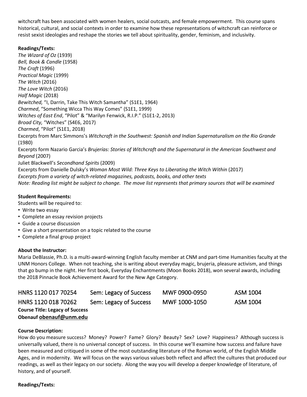witchcraft has been associated with women healers, social outcasts, and female empowerment. This course spans historical, cultural, and social contexts in order to examine how these representations of witchcraft can reinforce or resist sexist ideologies and reshape the stories we tell about spirituality, gender, feminism, and inclusivity.

#### **Readings/Texts:**

*The Wizard of Oz* (1939) *Bell, Book & Candle* (1958) *The Craft* (1996) *Practical Magic* (1999) *The Witch* (2016) *The Love Witch* (2016) *Half Magic* (2018) *Bewitched,* "I, Darrin, Take This Witch Samantha" (S1E1, 1964) *Charmed*, "Something Wicca This Way Comes" (S1E1, 1999) *Witches of East End*, "Pilot" & "Marilyn Fenwick, R.I.P." (S1E1-2, 2013) *Broad City,* "Witches" (S4E6, 2017) *Charmed*, "Pilot" (S1E1, 2018) Excerpts from Marc Simmons's *Witchcraft in the Southwest: Spanish and Indian Supernaturalism on the Rio Grande* (1980) Excerpts form Nazario Garcia's *Brujerías: Stories of Witchcraft and the Supernatural in the American Southwest and Beyond* (2007) Juliet Blackwell's *Secondhand Spirits* (2009) Excerpts from Danielle Dulsky's *Woman Most Wild: Three Keys to Liberating the Witch Within* (2017) *Excerpts from a variety of witch-related magazines, podcasts, books, and other texts* Note: Reading list might be subject to change. The move list represents that primary sources that will be examined

#### **Student Requirements:**

Students will be required to:

- Write two essay
- Complete an essay revision projects
- Guide a course discussion
- Give a short presentation on a topic related to the course
- Complete a final group project

#### **About the Instructor:**

Maria DeBlassie, Ph.D. is a multi-award-winning English faculty member at CNM and part-time Humanities faculty at the UNM Honors College. When not teaching, she is writing about everyday magic, brujeria, pleasure activism, and things that go bump in the night. Her first book, Everyday Enchantments (Moon Books 2018), won several awards, including the 2018 Pinnacle Book Achievement Award for the New Age Category.

<span id="page-11-1"></span><span id="page-11-0"></span>

| HNRS 1120 017 70254                    | Sem: Legacy of Success | MWF 0900-0950 | ASM 1004        |
|----------------------------------------|------------------------|---------------|-----------------|
| HNRS 1120 018 70262                    | Sem: Legacy of Success | MWF 1000-1050 | <b>ASM 1004</b> |
| <b>Course Title: Legacy of Success</b> |                        |               |                 |
| Obenauf obenauf@unm.edu                |                        |               |                 |

#### **Course Description:**

How do you measure success? Money? Power? Fame? Glory? Beauty? Sex? Love? Happiness? Although success is universally valued, there is no universal concept of success. In this course we'll examine how success and failure have been measured and critiqued in some of the most outstanding literature of the Roman world, of the English Middle Ages, and in modernity. We will focus on the ways various values both reflect and affect the cultures that produced our readings, as well as their legacy on our society. Along the way you will develop a deeper knowledge of literature, of history, and of yourself.

#### **Readings/Texts:**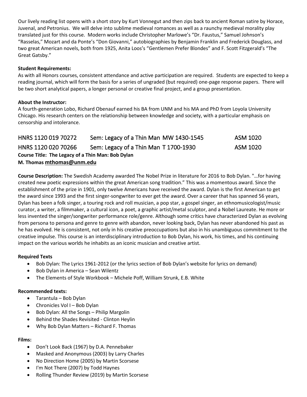Our lively reading list opens with a short story by Kurt Vonnegut and then zips back to ancient Roman satire by Horace, Juvenal, and Petronius. We will delve into sublime medieval romances as well as a raunchy medieval morality play translated just for this course. Modern works include Christopher Marlowe's "Dr. Faustus," Samuel Johnson's "Rasselas," Mozart and da Ponte's "Don Giovanni," autobiographies by Benjamin Franklin and Frederick Douglass, and two great American novels, both from 1925, Anita Loos's "Gentlemen Prefer Blondes" and F. Scott Fitzgerald's "The Great Gatsby."

#### **Student Requirements:**

As with all Honors courses, consistent attendance and active participation are required. Students are expected to keep a reading journal, which will form the basis for a series of ungraded (but required) one-page response papers. There will be two short analytical papers, a longer personal or creative final project, and a group presentation.

#### **About the Instructor:**

A fourth-generation Lobo, Richard Obenauf earned his BA from UNM and his MA and PhD from Loyola University Chicago. His research centers on the relationship between knowledge and society, with a particular emphasis on censorship and intolerance.

<span id="page-12-1"></span><span id="page-12-0"></span>

| HNRS 1120 019 70272                               | Sem: Legacy of a Thin Man MW 1430-1545 | ASM 1020 |  |  |  |
|---------------------------------------------------|----------------------------------------|----------|--|--|--|
| HNRS 1120 020 70266                               | Sem: Legacy of a Thin Man T 1700-1930  | ASM 1020 |  |  |  |
| Course Title: The Legacy of a Thin Man: Bob Dylan |                                        |          |  |  |  |
| M. Thomas mthomas@unm.edu                         |                                        |          |  |  |  |

**Course Description:** The Swedish Academy awarded The Nobel Prize in literature for 2016 to Bob Dylan. "…for having created new poetic expressions within the great American song tradition." This was a momentous award. Since the establishment of the prize in 1901, only twelve Americans have received the award. Dylan is the first American to get the award since 1993 and the first singer-songwriter to ever get the award. Over a career that has spanned 56 years, Dylan has been a folk singer, a touring rock and roll musician, a pop star, a gospel singer, an ethnomusicologist/music curator, a writer, a filmmaker, a cultural icon, a poet, a graphic artist/metal sculptor, and a Nobel Laureate. He more or less invented the singer/songwriter performance role/genre. Although some critics have characterized Dylan as evolving from persona to persona and genre to genre with abandon, never looking back, Dylan has never abandoned his past as he has evolved. He is consistent, not only in his creative preoccupations but also in his unambiguous commitment to the creative impulse. This course is an interdisciplinary introduction to Bob Dylan, his work, his times, and his continuing impact on the various worlds he inhabits as an iconic musician and creative artist.

#### **Required Texts**

- Bob Dylan: The Lyrics 1961-2012 (or the lyrics section of Bob Dylan's website for lyrics on demand)
- Bob Dylan in America Sean Wilentz
- The Elements of Style Workbook Michele Poff, William Strunk, E.B. White

#### **Recommended texts:**

- Tarantula Bob Dylan
- Chronicles Vol I Bob Dylan
- Bob Dylan: All the Songs Philip Margolin
- Behind the Shades Revisited Clinton Heylin
- Why Bob Dylan Matters Richard F. Thomas

#### **Films:**

- Don't Look Back (1967) by D.A. Pennebaker
- Masked and Anonymous (2003) by Larry Charles
- No Direction Home (2005) by Martin Scorsese
- I'm Not There (2007) by Todd Haynes
- Rolling Thunder Review (2019) by Martin Scorsese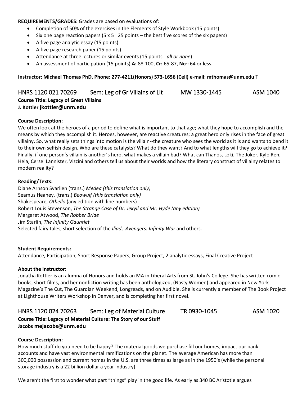**REQUIREMENTS/GRADES:** Grades are based on evaluations of:

- Completion of 50% of the exercises in the Elements of Style Workbook (15 points)
- Six one page reaction papers (5  $\times$  5= 25 points the best five scores of the six papers)
- A five page analytic essay (15 points)
- A five page research paper (15 points)
- Attendance at three lectures or similar events (15 points *all or none*)
- An assessment of participation (15 points) **A:** 88-100, **Cr:** 65-87, **Ncr:** 64 or less.

**Instructor: Michael Thomas PhD. Phone: 277-4211(Honors) 573-1656 (Cell) e-mail: mthomas@unm.edu** T

<span id="page-13-0"></span>HNRS 1120 021 70269 Sem: Leg of Gr Villains of Lit MW 1330-1445 ASM 1040 **Course Title: Legacy of Great Villains J. Kottler [jkottler@unm.edu](mailto:jkottler@unm.edu)**

#### **Course Description:**

We often look at the heroes of a period to define what is important to that age; what they hope to accomplish and the means by which they accomplish it. Heroes, however, are reactive creatures; a great hero only rises in the face of great villainy. So, what really sets things into motion is the villain--the creature who sees the world as it is and wants to bend it to their own selfish design. Who are these catalysts? What do they want? And to what lengths will they go to achieve it? Finally, if one person's villain is another's hero, what makes a villain bad? What can Thanos, Loki, The Joker, Kylo Ren, Hela, Cersei Lannister, Vizzini and others tell us about their worlds and how the literary construct of villainy relates to modern reality?

#### **Reading/Texts:**

Diane Arnson Svarlien (trans.) *Medea (this translation only)* Seamus Heaney, (trans.) *Beowulf (this translation only)* Shakespeare, *Othello* (any edition with line numbers) Robert Louis Stevenson, *The Strange Case of Dr. Jekyll and Mr. Hyde (any edition)* Margaret Atwood, *The Robber Bride* Jim Starlin, *The Infinity Gauntlet* Selected fairy tales, short selection of the *Iliad*, *Avengers: Infinity War* and others.

#### **Student Requirements:**

Attendance, Participation, Short Response Papers, Group Project, 2 analytic essays, Final Creative Project

#### **About the Instructor:**

Jonatha Kottler is an alumna of Honors and holds an MA in Liberal Arts from St. John's College. She has written comic books, short films, and her nonfiction writing has been anthologized, (Nasty Women) and appeared in New York Magazine's The Cut, The Guardian Weekend, Longreads, and on Audible. She is currently a member of The Book Project at Lighthouse Writers Workshop in Denver, and is completing her first novel.

### <span id="page-13-1"></span>HNRS 1120 024 70263 Sem: Leg of Material Culture TR 0930-1045 ASM 1020 **Course Title: Legacy of Material Culture: The Story of our Stuff Jacobs [mejacobs@unm.edu](mailto:mejacobs@unm.edu)**

#### **Course Description:**

How much stuff do you need to be happy? The material goods we purchase fill our homes, impact our bank accounts and have vast environmental ramifications on the planet. The average American has more than 300,000 possession and current homes in the U.S. are three times as large as in the 1950's (while the personal storage industry is a 22 billion dollar a year industry).

We aren't the first to wonder what part "things" play in the good life. As early as 340 BC Aristotle argues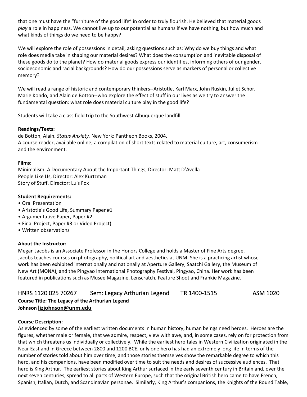that one must have the "furniture of the good life" in order to truly flourish. He believed that material goods *play* a role in happiness. We cannot live up to our potential as humans if we have nothing, but how much and what kinds of things do we need to be happy?

We will explore the role of possessions in detail, asking questions such as: Why do we buy things and what role does media take in shaping our material desires? What does the consumption and inevitable disposal of these goods do to the planet? How do material goods express our identities, informing others of our gender, socioeconomic and racial backgrounds? How do our possessions serve as markers of personal or collective memory?

We will read a range of historic and contemporary thinkers--Aristotle, Karl Marx, John Ruskin, Juliet Schor, Marie Kondo, and Alain de Botton--who explore the effect of stuff in our lives as we try to answer the fundamental question: what role does material culture play in the good life?

Students will take a class field trip to the Southwest Albuquerque landfill.

#### **Readings/Texts:**

de Botton, Alain. *Status Anxiety.* New York: Pantheon Books, 2004. A course reader, available online; a compilation of short texts related to material culture, art, consumerism and the environment.

#### **Films:**

Minimalism: A Documentary About the Important Things, Director: Matt D'Avella People Like Us, Director: Alex Kurtzman Story of Stuff, Director: Luis Fox

#### **Student Requirements:**

- Oral Presentation
- Aristotle's Good Life, Summary Paper #1
- Argumentative Paper, Paper #2
- Final Project, Paper #3 or Video Project)
- Written observations

#### **About the Instructor:**

Megan Jacobs is an Associate Professor in the Honors College and holds a Master of Fine Arts degree. Jacobs teaches courses on photography, political art and aesthetics at UNM. She is a practicing artist whose work has been exhibited internationally and nationally at Aperture Gallery, Saatchi Gallery, the Museum of New Art (MONA), and the Pingyao International Photography Festival, Pingyao, China. Her work has been featured in publications such as Musee Magazine, Lenscratch, Feature Shoot and Frankie Magazine.

#### <span id="page-14-0"></span>HNRS 1120 025 70267 Sem: Legacy Arthurian Legend TR 1400-1515 ASM 1020 **Course Title: The Legacy of the Arthurian Legend Johnson [lizjohnson@unm.edu](mailto:lizjohnson@unm.edu)**

#### **Course Description:**

As evidenced by some of the earliest written documents in human history, human beings need heroes. Heroes are the figures, whether male or female, that we admire, respect, view with awe, and, in some cases, rely on for protection from that which threatens us individually or collectively. While the earliest hero tales in Western Civilization originated in the Near East and in Greece between 2800 and 1200 BCE, only one hero has had an extremely long life in terms of the number of stories told about him over time, and those stories themselves show the remarkable degree to which this hero, and his companions, have been modified over time to suit the needs and desires of successive audiences. That hero is King Arthur. The earliest stories about King Arthur surfaced in the early seventh century in Britain and, over the next seven centuries, spread to all parts of Western Europe, such that the original British hero came to have French, Spanish, Italian, Dutch, and Scandinavian personae. Similarly, King Arthur's companions, the Knights of the Round Table,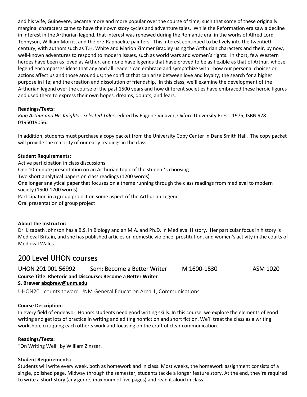and his wife, Guinevere, became more and more popular over the course of time, such that some of these originally marginal characters came to have their own story cycles and adventure tales. While the Reformation era saw a decline in interest in the Arthurian legend, that interest was renewed during the Romantic era, in the works of Alfred Lord Tennyson, William Morris, and the pre-Raphaelite painters. This interest continued to be lively into the twentieth century, with authors such as T.H. White and Marion Zimmer Bradley using the Arthurian characters and their, by now, well-known adventures to respond to modern issues, such as world wars and women's rights. In short, few Western heroes have been as loved as Arthur, and none have legends that have proved to be as flexible as that of Arthur, whose legend encompasses ideas that any and all readers can embrace and sympathize with: how our personal choices or actions affect us and those around us; the conflict that can arise between love and loyalty; the search for a higher purpose in life; and the creation and dissolution of friendship. In this class, we'll examine the development of the Arthurian legend over the course of the past 1500 years and how different societies have embraced these heroic figures and used them to express their own hopes, dreams, doubts, and fears.

#### **Readings/Texts:**

*King Arthur and His Knights: Selected Tales,* edited by Eugene Vinaver, Oxford University Press, 1975, ISBN 978- 0195019056.

In addition, students must purchase a copy packet from the University Copy Center in Dane Smith Hall. The copy packet will provide the majority of our early readings in the class.

#### **Student Requirements:**

Active participation in class discussions One 10-minute presentation on an Arthurian topic of the student's choosing Two short analytical papers on class readings (1200 words) One longer analytical paper that focuses on a theme running through the class readings from medieval to modern society (1500-1700 words) Participation in a group project on some aspect of the Arthurian Legend Oral presentation of group project

#### **About the Instructor:**

Dr. Lizabeth Johnson has a B.S. in Biology and an M.A. and Ph.D. in Medieval History. Her particular focus in history is Medieval Britain, and she has published articles on domestic violence, prostitution, and women's activity in the courts of Medieval Wales.

### <span id="page-15-0"></span>200 Level UHON courses

<span id="page-15-1"></span>UHON 201 001 56992 Sem: Become a Better Writer M 1600-1830 ASM 1020 **Course Title: Rhetoric and Discourse: Become a Better Writer S. Brewer [abqbrew@unm.edu](mailto:abqbrew@unm.edu)** UHON201 counts toward UNM General Education Area 1, Communications

#### <span id="page-15-2"></span>**Course Description:**

In every field of endeavor, Honors students need good writing skills. In this course, we explore the elements of good writing and get lots of practice in writing and editing nonfiction and short fiction. We'll treat the class as a writing workshop, critiquing each other's work and focusing on the craft of clear communication.

#### **Readings/Texts:**

"On Writing Well" by William Zinsser.

#### **Student Requirements:**

Students will write every week, both as homework and in class. Most weeks, the homework assignment consists of a single, polished page. Midway through the semester, students tackle a longer feature story. At the end, they're required to write a short story (any genre, maximum of five pages) and read it aloud in class.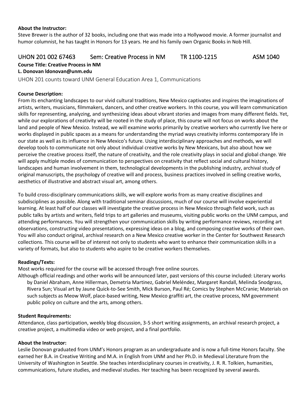#### **About the Instructor:**

Steve Brewer is the author of 32 books, including one that was made into a Hollywood movie. A former journalist and humor columnist, he has taught in Honors for 13 years. He and his family own Organic Books in Nob Hill.

#### <span id="page-16-0"></span>UHON 201 002 67463 Sem: Creative Process in NM TR 1100-1215 ASM 1040

### **Course Title: Creative Process in NM**

**L. Donovan [ldonovan@unm.edu](mailto:ldonovan@unm.edu)**

<span id="page-16-1"></span>UHON 201 counts toward UNM General Education Area 1, Communications

#### **Course Description:**

From its enchanting landscapes to our vivid cultural traditions, New Mexico captivates and inspires the imaginations of artists, writers, musicians, filmmakers, dancers, and other creative workers. In this course, you will learn communication skills for representing, analyzing, and synthesizing ideas about vibrant stories and images from many different fields. Yet, while our explorations of creativity will be rooted in the study of place, this course will not focus on works about the land and people of New Mexico. Instead, we will examine works primarily by creative workers who currently live here or works displayed in public spaces as a means for understanding the myriad ways creativity informs contemporary life in our state as well as its influence in New Mexico's future. Using interdisciplinary approaches and methods, we will develop tools to communicate not only about individual creative works by New Mexicans, but also about how we perceive the creative process itself, the nature of creativity, and the role creativity plays in social and global change. We will apply multiple modes of communication to perspectives on creativity that reflect social and cultural history, landscapes and human involvement in them, technological developments in the publishing industry, archival study of original manuscripts, the psychology of creative will and process, business practices involved in selling creative works, aesthetics of illustrative and abstract visual art, among others.

To build cross-disciplinary communications skills, we will explore works from as many creative disciplines and subdisciplines as possible. Along with traditional seminar discussions, much of our course will involve experiential learning. At least half of our classes will investigate the creative process in New Mexico through field work, such as public talks by artists and writers, field trips to art galleries and museums, visiting public works on the UNM campus, and attending performances. You will strengthen your communication skills by writing performance reviews, recording art observations, constructing video presentations, expressing ideas on a blog, and composing creative works of their own. You will also conduct original, archival research on a New Mexico creative worker in the Center for Southwest Research collections. This course will be of interest not only to students who want to enhance their communication skills in a variety of formats, but also to students who aspire to be creative workers themselves.

#### **Readings/Texts:**

Most works required for the course will be accessed through free online sources.

Although official readings and other works will be announced later, past versions of this course included: Literary works by Daniel Abraham, Anne Hillerman, Demetria Martinez, Gabriel Meléndez, Margaret Randall, Melinda Snodgrass, Rivera Sun; Visual art by Jaune Quick-to-See Smith, Mick Burson, Paul Ré; Comics by Stephen McCranie; Materials on such subjects as Meow Wolf, place-based writing, New Mexico graffiti art, the creative process, NM government public policy on culture and the arts, among others.

#### **Student Requirements:**

Attendance, class participation, weekly blog discussion, 3-5 short writing assignments, an archival research project, a creative project, a multimedia video or web project, and a final portfolio.

#### **About the Instructor:**

Leslie Donovan graduated from UNM's Honors program as an undergraduate and is now a full-time Honors faculty. She earned her B.A. in Creative Writing and M.A. in English from UNM and her Ph.D. in Medieval Literature from the University of Washington in Seattle. She teaches interdisciplinary courses in creativity, J. R. R. Tolkien, humanities, communications, future studies, and medieval studies. Her teaching has been recognized by several awards.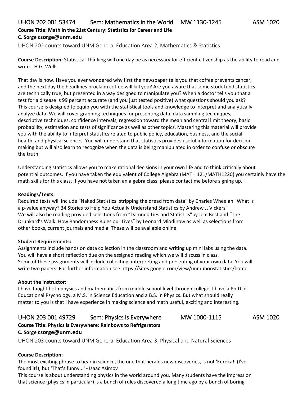#### <span id="page-17-0"></span>UHON 202 001 53474 Sem: Mathematics in the World MW 1130-1245 ASM 1020 **Course Title: Math in the 21st Century: Statistics for Career and Life C. Sorge [csorge@unm.edu](mailto:csorge@unm.edu)**

<span id="page-17-1"></span>UHON 202 counts toward UNM General Education Area 2, Mathematics & Statistics

**Course Description:** Statistical Thinking will one day be as necessary for efficient citizenship as the ability to read and write.- H.G. Wells

That day is now. Have you ever wondered why first the newspaper tells you that coffee prevents cancer, and the next day the headlines proclaim coffee will kill you? Are you aware that some stock fund statistics are technically true, but presented in a way designed to manipulate you? When a doctor tells you that a test for a disease is 99 percent accurate (and you just tested positive) what questions should you ask? This course is designed to equip you with the statistical tools and knowledge to interpret and analytically analyze data. We will cover graphing techniques for presenting data, data sampling techniques, descriptive techniques, confidence intervals, regression toward the mean and central limit theory, basic probability, estimation and tests of significance as well as other topics. Mastering this material will provide you with the ability to interpret statistics related to public policy, education, business, and the social, health, and physical sciences. You will understand that statistics provides useful information for decision making but will also learn to recognize when the data is being manipulated in order to confuse or obscure the truth.

Understanding statistics allows you to make rational decisions in your own life and to think critically about potential outcomes. If you have taken the equivalent of College Algebra (MATH 121/MATH1220) you certainly have the math skills for this class. If you have not taken an algebra class, please contact me before signing up.

#### **Readings/Texts:**

Required texts will include "Naked Statistics: stripping the dread from data" by Charles Wheelan "What is a p-value anyway? 34 Stories to Help You Actually Understand Statistics by Andrew J. Vickers" We will also be reading provided selections from "Damned Lies and Statistics"by Joal Best and "The Drunkard's Walk: How Randomness Rules our Lives" by Leonard Mlodinow as well as selections from other books, current journals and media. These will be available online.

#### **Student Requirements:**

Assignments include hands on data collection in the classroom and writing up mini labs using the data. You will have a short reflection due on the assigned reading which we will discuss in class. Some of these assignments will include collecting, interpreting and presenting of your own data. You will write two papers. For further information see https://sites.google.com/view/unmuhonstatistics/home.

#### **About the Instructor:**

I have taught both physics and mathematics from middle school level through college. I have a Ph.D in Educational Psychology, a M.S. in Science Education and a B.S. in Physics. But what should really matter to you is that I have experience in making science and math useful, exciting and interesting.

### <span id="page-17-2"></span>UHON 203 001 49729 Sem: Physics is Everywhere MW 1000-1115 ASM 1020

**Course Title: Physics is Everywhere: Rainbows to Refrigerators**

#### **C. Sorge [csorge@unm.edu](mailto:csorge@unm.edu)**

<span id="page-17-3"></span>UHON 203 counts toward UNM General Education Area 3, Physical and Natural Sciences

#### **Course Description:**

The most exciting phrase to hear in science, the one that heralds new discoveries, is not 'Eureka!' (I've found it!), but 'That's funny...' - Isaac Asimov

This course is about understanding physics in the world around you. Many students have the impression that science (physics in particular) is a bunch of rules discovered a long time ago by a bunch of boring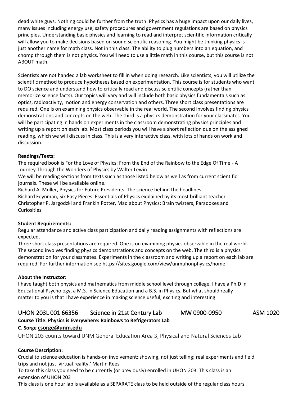dead white guys. Nothing could be further from the truth. Physics has a huge impact upon our daily lives, many issues including energy use, safety procedures and government regulations are based on physics principles. Understanding basic physics and learning to read and interpret scientific information critically will allow you to make decisions based on sound scientific reasoning. You might be thinking physics is just another name for math class. Not in this class. The ability to plug numbers into an equation, and chomp through them is not physics. You will need to use a little math in this course, but this course is not ABOUT math.

Scientists are not handed a lab worksheet to fill in when doing research. Like scientists, you will utilize the scientific method to produce hypotheses based on experimentation. This course is for students who want to DO science and understand how to critically read and discuss scientific concepts (rather than memorize science facts). Our topics will vary and will include both basic physics fundamentals such as optics, radioactivity, motion and energy conservation and others. Three short class presentations are required. One is on examining physics observable in the real world. The second involves finding physics demonstrations and concepts on the web. The third is a physics demonstration for your classmates. You will be participating in hands on experiments in the classroom demonstrating physics principles and writing up a report on each lab. Most class periods you will have a short reflection due on the assigned reading, which we will discuss in class. This is a very interactive class, with lots of hands on work and discussion.

#### **Readings/Texts:**

The required book is For the Love of Physics: From the End of the Rainbow to the Edge Of Time - A Journey Through the Wonders of Physics by Walter Lewin

We will be reading sections from texts such as those listed below as well as from current scientific journals. These will be available online.

Richard A. Muller, Physics for Future Presidents: The science behind the headlines Richard Feynman, Six Easy Pieces: Essentials of Physics explained by its most brilliant teacher Christopher P. Jargodzki and Frankin Potter, Mad about Physics: Brain twisters, Paradoxes and Curiosities

#### **Student Requirements:**

Regular attendance and active class participation and daily reading assignments with reflections are expected.

Three short class presentations are required. One is on examining physics observable in the real world. The second involves finding physics demonstrations and concepts on the web. The third is a physics demonstration for your classmates. Experiments in the classroom and writing up a report on each lab are required. For further information see https://sites.google.com/view/unmuhonphysics/home

#### **About the Instructor:**

I have taught both physics and mathematics from middle school level through college. I have a Ph.D in Educational Psychology, a M.S. in Science Education and a B.S. in Physics. But what should really matter to you is that I have experience in making science useful, exciting and interesting.

## <span id="page-18-0"></span>UHON 203L 001 66356 Science in 21st Century Lab MW 0900-0950 ASM 1020

### **Course Title: Physics is Everywhere: Rainbows to Refrigerators Lab C. Sorge [csorge@unm.edu](mailto:csorge@unm.edu)**

<span id="page-18-1"></span>UHON 203 counts toward UNM General Education Area 3, Physical and Natural Sciences Lab

#### **Course Description:**

Crucial to science education is hands-on involvement: showing, not just telling; real experiments and field trips and not just 'virtual reality.' Martin Rees

To take this class you need to be currently (or previously) enrolled in UHON 203. This class is an extension of UHON 203

This class is one hour lab is available as a SEPARATE class to be held outside of the regular class hours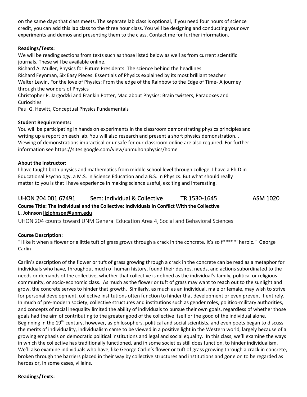on the same days that class meets. The separate lab class is optional, if you need four hours of science credit, you can add this lab class to the three hour class. You will be designing and conducting your own experiments and demos and presenting them to the class. Contact me for further information.

#### **Readings/Texts:**

We will be reading sections from texts such as those listed below as well as from current scientific journals. These will be available online.

Richard A. Muller, Physics for Future Presidents: The science behind the headlines Richard Feynman, Six Easy Pieces: Essentials of Physics explained by its most brilliant teacher Walter Lewin, For the love of Physics: From the edge of the Rainbow to the Edge of Time- A journey through the wonders of Physics

Christopher P. Jargodzki and Frankin Potter, Mad about Physics: Brain twisters, Paradoxes and Curiosities

Paul G. Hewitt, Conceptual Physics Fundamentals

#### **Student Requirements:**

You will be participating in hands on experiments in the classroom demonstrating physics principles and writing up a report on each lab. You will also research and present a short physics demonstration. . Viewing of demonstrations impractical or unsafe for our classroom online are also required. For further information see https://sites.google.com/view/unmuhonphysics/home

#### **About the Instructor:**

I have taught both physics and mathematics from middle school level through college. I have a Ph.D in Educational Psychology, a M.S. in Science Education and a B.S. in Physics. But what should really matter to you is that I have experience in making science useful, exciting and interesting.

#### <span id="page-19-0"></span>UHON 204 001 67491 Sem: Individual & Collective TR 1530-1645 ASM 1020 **Course Title: The Individual and the Collective: Individuals in Conflict With the Collective L. Johnson [lizjohnson@unm.edu](mailto:lizjohnson@unm.edu)**

<span id="page-19-1"></span>UHON 204 counts toward UNM General Education Area 4, Social and Behavioral Sciences

#### **Course Description:**

"I like it when a flower or a little tuft of grass grows through a crack in the concrete. It's so  $f*****'$  heroic." George Carlin

Carlin's description of the flower or tuft of grass growing through a crack in the concrete can be read as a metaphor for individuals who have, throughout much of human history, found their desires, needs, and actions subordinated to the needs or demands of the collective, whether that collective is defined as the individual's family, political or religious community, or socio-economic class. As much as the flower or tuft of grass may want to reach out to the sunlight and grow, the concrete serves to hinder that growth. Similarly, as much as an individual, male or female, may wish to strive for personal development, collective institutions often function to hinder that development or even prevent it entirely. In much of pre-modern society, collective structures and institutions such as gender roles, politico-military authorities, and concepts of racial inequality limited the ability of individuals to pursue their own goals, regardless of whether those goals had the aim of contributing to the greater good of the collective itself or the good of the individual alone. Beginning in the 19<sup>th</sup> century, however, as philosophers, political and social scientists, and even poets began to discuss the merits of individuality, individualism came to be viewed in a positive light in the Western world, largely because of a growing emphasis on democratic political institutions and legal and social equality. In this class, we'll examine the ways in which the collective has traditionally functioned, and in some societies still does function, to hinder individualism. We'll also examine individuals who have, like George Carlin's flower or tuft of grass growing through a crack in concrete, broken through the barriers placed in their way by collective structures and institutions and gone on to be regarded as heroes or, in some cases, villains.

#### **Readings/Texts:**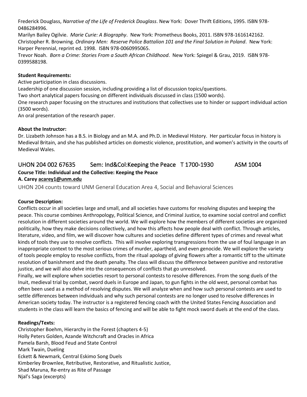Frederick Douglass, *Narrative of the Life of Frederick Douglass*. New York: Dover Thrift Editions, 1995. ISBN 978- 0486284996.

Marilyn Bailey Ogilvie. *Marie Curie: A Biography*. New York: Prometheus Books, 2011. ISBN 978-1616142162. Christopher R. Browning. *Ordinary Men: Reserve Police Battalion 101 and the Final Solution in Poland*. New York: Harper Perennial, reprint ed. 1998. ISBN 978-0060995065.

Trevor Noah. *Born a Crime: Stories From a South African Childhood*. New York: Spiegel & Grau, 2019. ISBN 978- 0399588198.

#### **Student Requirements:**

Active participation in class discussions.

Leadership of one discussion session, including providing a list of discussion topics/questions.

Two short analytical papers focusing on different individuals discussed in class (1500 words).

One research paper focusing on the structures and institutions that collectives use to hinder or support individual action (3500 words).

An oral presentation of the research paper.

#### **About the Instructor:**

Dr. Lizabeth Johnson has a B.S. in Biology and an M.A. and Ph.D. in Medieval History. Her particular focus in history is Medieval Britain, and she has published articles on domestic violence, prostitution, and women's activity in the courts of Medieval Wales.

#### <span id="page-20-0"></span>UHON 204 002 67635 Sem: Ind&Col:Keeping the Peace T 1700-1930 ASM 1004 **Course Title: Individual and the Collective: Keeping the Peace A. Care[y acarey1@unm.edu](mailto:acarey1@unm.edu)**

<span id="page-20-1"></span>UHON 204 counts toward UNM General Education Area 4, Social and Behavioral Sciences

#### **Course Description:**

Conflicts occur in all societies large and small, and all societies have customs for resolving disputes and keeping the peace. This course combines Anthropology, Political Science, and Criminal Justice, to examine social control and conflict resolution in different societies around the world. We will explore how the members of different societies are organized politically, how they make decisions collectively, and how this affects how people deal with conflict. Through articles, literature, video, and film, we will discover how cultures and societies define different types of crimes and reveal what kinds of tools they use to resolve conflicts. This will involve exploring transgressions from the use of foul language in an inappropriate context to the most serious crimes of murder, apartheid, and even genocide. We will explore the variety of tools people employ to resolve conflicts, from the ritual apology of giving flowers after a romantic tiff to the ultimate resolution of banishment and the death penalty. The class will discuss the difference between punitive and restorative justice, and we will also delve into the consequences of conflicts that go unresolved.

Finally, we will explore when societies resort to personal contests to resolve differences. From the song duels of the Inuit, medieval trial by combat, sword duels in Europe and Japan, to gun fights in the old west, personal combat has often been used as a method of resolving disputes. We will analyze when and how such personal contests are used to settle differences between individuals and why such personal contests are no longer used to resolve differences in American society today. The instructor is a registered fencing coach with the United States Fencing Association and students in the class will learn the basics of fencing and will be able to fight mock sword duels at the end of the class.

#### **Readings/Texts:**

Christopher Boehm, Hierarchy in the Forest (chapters 4-5) Holly Peters Golden, Azande Witchcraft and Oracles in Africa Pamela Barsh, Blood Feud and State Control Mark Twain, Dueling Eckett & Newmark, Central Eskimo Song Duels Kimberley Brownlee, Retributive, Restorative, and Ritualistic Justice, Shad Maruna, Re-entry as Rite of Passage Njal's Saga (excerpts)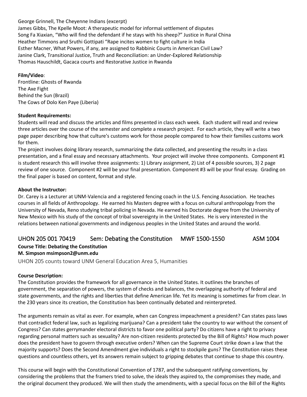#### George Grinnell, The Cheyenne Indians (excerpt)

James Gibbs, The Kpelle Moot: A therapeutic model for informal settlement of disputes Song Fa Xiaxian, "Who will find the defendant if he stays with his sheep?" Justice in Rural China Heather Timmons and Sruthi Gottipati "Rape incites women to fight culture in India Esther Macner, What Powers, if any, are assigned to Rabbinic Courts in American Civil Law? Janine Clark, Transitional Justice, Truth and Reconciliation: an Under-Explored Relationship Thomas Hauschildt, Gacaca courts and Restorative Justice in Rwanda

#### **Film/Video**:

Frontline: Ghosts of Rwanda The Axe Fight Behind the Sun (Brazil) The Cows of Dolo Ken Paye (Liberia)

#### **Student Requirements:**

Students will read and discuss the articles and films presented in class each week. Each student will read and review three articles over the course of the semester and complete a research project. For each article, they will write a two page paper describing how that culture's customs work for those people compared to how their families customs work for them.

The project involves doing library research, summarizing the data collected, and presenting the results in a class presentation, and a final essay and necessary attachments. Your project will involve three components. Component #1 is student research this will involve three assignments: 1) Library assignment, 2) List of 4 possible sources, 3) 2 page review of one source. Component #2 will be your final presentation. Component #3 will be your final essay. Grading on the final paper is based on content, format and style.

#### **About the Instructor:**

Dr. Carey is a Lecturer at UNM-Valencia and a registered fencing coach in the U.S. Fencing Association. He teaches courses in all fields of Anthropology. He earned his Masters degree with a focus on cultural anthropology from the University of Nevada, Reno studying tribal policing in Nevada. He earned his Doctorate degree from the University of New Mexico with his study of the concept of tribal sovereignty in the United States. He is very interested in the relations between national governments and indigenous peoples in the United States and around the world.

### <span id="page-21-0"></span>UHON 205 001 70419 Sem: Debating the Constitution MWF 1500-1550 ASM 1004

#### **Course Title: Debating the Constitution**

#### **M. Simpson msimpson2@unm.edu**

<span id="page-21-1"></span>UHON 205 counts toward UNM General Education Area 5, Humanities

#### **Course Description:**

The Constitution provides the framework for all governance in the United States. It outlines the branches of government, the separation of powers, the system of checks and balances, the overlapping authority of federal and state governments, and the rights and liberties that define American life. Yet its meaning is sometimes far from clear. In the 230 years since its creation, the Constitution has been continually debated and reinterpreted.

The arguments remain as vital as ever. For example, when can Congress impeachment a president? Can states pass laws that contradict federal law, such as legalizing marijuana? Can a president take the country to war without the consent of Congress? Can states gerrymander electoral districts to favor one political party? Do citizens have a right to privacy regarding personal matters such as sexuality? Are non-citizen residents protected by the Bill of Rights? How much power does the president have to govern through executive orders? When can the Supreme Court strike down a law that the majority supports? Does the Second Amendment give individuals a right to stockpile guns? The Constitution raises these questions and countless others, yet its answers remain subject to gripping debates that continue to shape this country.

This course will begin with the Constitutional Convention of 1787, and the subsequent ratifying conventions, by considering the problems that the framers tried to solve, the ideals they aspired to, the compromises they made, and the original document they produced. We will then study the amendments, with a special focus on the Bill of the Rights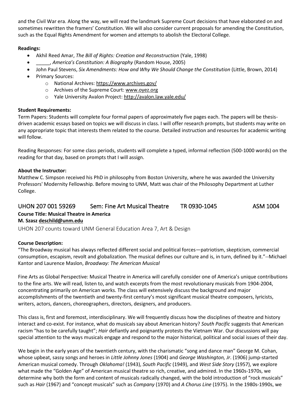and the Civil War era. Along the way, we will read the landmark Supreme Court decisions that have elaborated on and sometimes rewritten the framers' Constitution. We will also consider current proposals for amending the Constitution, such as the Equal Rights Amendment for women and attempts to abolish the Electoral College.

#### **Readings:**

- Akhil Reed Amar, *The Bill of Rights: Creation and Reconstruction* (Yale, 1998)
- \_\_\_\_\_, *America's Constitution: A Biography* (Random House, 2005)
- John Paul Stevens, *Six Amendments: How and Why We Should Change the Constitution* (Little, Brown, 2014)
- Primary Sources:
	- o National Archives:<https://www.archives.gov/>
	- o Archives of the Supreme Court[: www.oyez.org](http://www.oyez.org/)
	- o Yale University Avalon Project:<http://avalon.law.yale.edu/>

#### **Student Requirements:**

Term Papers: Students will complete four formal papers of approximately five pages each. The papers will be thesisdriven academic essays based on topics we will discuss in class. I will offer research prompts, but students may write on any appropriate topic that interests them related to the course. Detailed instruction and resources for academic writing will follow.

Reading Responses: For some class periods, students will complete a typed, informal reflection (500-1000 words) on the reading for that day, based on prompts that I will assign.

#### **About the Instructor:**

Matthew C. Simpson received his PhD in philosophy from Boston University, where he was awarded the University Professors' Modernity Fellowship. Before moving to UNM, Matt was chair of the Philosophy Department at Luther College.

#### <span id="page-22-0"></span>UHON 207 001 59269 Sem: Fine Art Musical Theatre TR 0930-1045 ASM 1004 **Course Title: Musical Theatre in America M. Szasz [deschild@unm.edu](mailto:deschild@unm.edu)**

<span id="page-22-1"></span>UHON 207 counts toward UNM General Education Area 7, Art & Design

#### **Course Description:**

"The Broadway musical has always reflected different social and political forces—patriotism, skepticism, commercial consumption, escapism, revolt and globalization. The musical defines our culture and is, in turn, defined by it."--Michael Kantor and Laurence Maslon, *Broadway: The American Musical*

Fine Arts as Global Perspective: Musical Theatre in America will carefully consider one of America's unique contributions to the fine arts. We will read, listen to, and watch excerpts from the most revolutionary musicals from 1904-2004, concentrating primarily on American works. The class will extensively discuss the background and major accomplishments of the twentieth and twenty-first century's most significant musical theatre composers, lyricists, writers, actors, dancers, choreographers, directors, designers, and producers.

This class is, first and foremost, interdisciplinary. We will frequently discuss how the disciplines of theatre and history interact and co-exist. For instance, what do musicals say about American history? *South Pacific* suggests that American racism "has to be carefully taught"; *Hair* defiantly and poignantly protests the Vietnam War. Our discussions will pay special attention to the ways musicals engage and respond to the major historical, political and social issues of their day.

We begin in the early years of the twentieth century, with the charismatic "song and dance man" George M. Cohan, whose upbeat, sassy songs and heroes in *Little Johnny Jones* (1904) and *George Washington, Jr*. (1906) jump-started American musical comedy. Through *Oklahoma!* (1943), *South Pacific* (1949), and *West Side Story* (1957), we explore what made the "Golden Age" of American musical theatre so rich, creative, and admired. In the 1960s-1970s, we determine why both the form and content of musicals radically changed, with the bold introduction of "rock musicals" such as *Hair* (1967) and "concept musicals" such as *Company* (1970) and *A Chorus Line* (1975). In the 1980s-1990s, we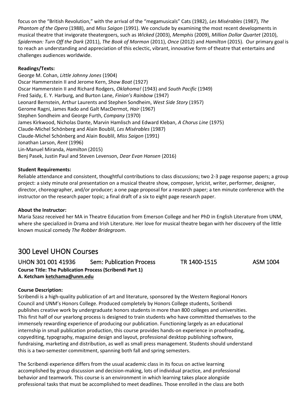focus on the "British Revolution," with the arrival of the "megamusicals" Cats (1982), *Les Misérables* (1987), *The Phantom of the Opera* (1988), and *Miss Saigon* (1991). We conclude by examining the most recent developments in musical theatre that invigorate theatergoers, such as *Wicked* (2003), *Memphis* (2009), *Million Dollar Quartet* (2010), *Spiderman: Turn Off the Dark* (2011), *The Book of Mormon* (2011), *Once* (2012) and *Hamilton* (2015). Our primary goal is to reach an understanding and appreciation of this eclectic, vibrant, innovative form of theatre that entertains and challenges audiences worldwide.

#### **Readings/Texts:**

George M. Cohan, *Little Johnny Jones* (1904) Oscar Hammerstein II and Jerome Kern, *Show Boat* (1927) Oscar Hammerstein II and Richard Rodgers, *Oklahoma!* (1943) and *South Pacific* (1949) Fred Saidy, E. Y. Harburg, and Burton Lane, *Finian's Rainbow* (1947) Leonard Bernstein, Arthur Laurents and Stephen Sondheim, *West Side Story* (1957) Gerome Ragni, James Rado and Galt MacDermot, *Hair* (1967) Stephen Sondheim and George Furth, *Company* (1970) James Kirkwood, Nicholas Dante, Marvin Hamlisch and Edward Kleban, *A Chorus Line* (1975) Claude-Michel Schönberg and Alain Boublil, *Les Misérables* (1987) Claude-Michel Schönberg and Alain Boublil, *Miss Saigon* (1991) Jonathan Larson, *Rent* (1996) Lin-Manuel Miranda, *Hamilton* (2015) Benj Pasek, Justin Paul and Steven Levenson, *Dear Evan Hansen* (2016)

#### **Student Requirements:**

Reliable attendance and consistent, thoughtful contributions to class discussions; two 2-3 page response papers; a group project: a sixty minute oral presentation on a musical theatre show, composer, lyricist, writer, performer, designer, director, choreographer, and/or producer; a one page proposal for a research paper; a ten minute conference with the instructor on the research paper topic; a final draft of a six to eight page research paper.

#### **About the Instructor:**

Maria Szasz received her MA in Theatre Education from Emerson College and her PhD in English Literature from UNM, where she specialized in Drama and Irish Literature. Her love for musical theatre began with her discovery of the little known musical comedy *The Robber Bridegroom*.

### <span id="page-23-0"></span>300 Level UHON Courses

<span id="page-23-1"></span>UHON 301 001 41936 Sem: Publication Process TR 1400-1515 ASM 1004 **Course Title: The Publication Process (Scribendi Part 1) A. Ketcham [ketchama@unm.edu](mailto:ketchama@unm.edu)**

#### **Course Description:**

Scribendi is a high-quality publication of art and literature, sponsored by the Western Regional Honors Council and UNM's Honors College. Produced completely by Honors College students, Scribendi publishes creative work by undergraduate honors students in more than 800 colleges and universities. This first half of our yearlong process is designed to train students who have committed themselves to the immensely rewarding experience of producing our publication. Functioning largely as an educational internship in small publication production, this course provides hands-on experience in proofreading, copyediting, typography, magazine design and layout, professional desktop publishing software, fundraising, marketing and distribution, as well as small press management. Students should understand this is a two-semester commitment, spanning both fall and spring semesters.

The Scribendi experience differs from the usual academic class in its focus on active learning accomplished by group discussion and decision-making, lots of individual practice, and professional behavior and teamwork. This course is an environment in which learning takes place alongside professional tasks that must be accomplished to meet deadlines. Those enrolled in the class are both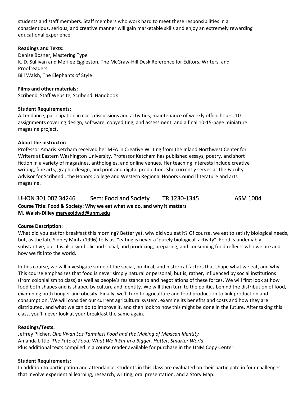students and staff members. Staff members who work hard to meet these responsibilities in a conscientious, serious, and creative manner will gain marketable skills and enjoy an extremely rewarding educational experience.

#### **Readings and Texts:**

Denise Bosner, Mastering Type K. D. Sullivan and Merilee Eggleston, The McGraw-Hill Desk Reference for Editors, Writers, and Proofreaders Bill Walsh, The Elephants of Style

**Films and other materials:**  Scribendi Staff Website, Scribendi Handbook

#### **Student Requirements:**

Attendance; participation in class discussions and activities; maintenance of weekly office hours; 10 assignments covering design, software, copyediting, and assessment; and a final 10-15-page miniature magazine project.

#### **About the instructor:**

Professor Amaris Ketcham received her MFA in Creative Writing from the Inland Northwest Center for Writers at Eastern Washington University. Professor Ketcham has published essays, poetry, and short fiction in a variety of magazines, anthologies, and online venues. Her teaching interests include creative writing, fine arts, graphic design, and print and digital production. She currently serves as the Faculty Advisor for Scribendi, the Honors College and Western Regional Honors Council literature and arts magazine.

### <span id="page-24-0"></span>UHON 301 002 34246 Sem: Food and Society TR 1230-1345 ASM 1004

**Course Title: Food & Society: Why we eat what we do, and why it matters M. Walsh-Dilley [marygoldwd@unm.edu](mailto:marygoldwd@unm.edu)**

#### **Course Description:**

What did you eat for breakfast this morning? Better yet, why did you eat it? Of course, we eat to satisfy biological needs, but, as the late Sidney Mintz (1996) tells us, "eating is never a 'purely biological' activity". Food is undeniably substantive, but it is also symbolic and social, and producing, preparing, and consuming food reflects who we are and how we fit into the world.

In this course, we will investigate some of the social, political, and historical factors that shape what we eat, and why. This course emphasizes that food is never simply natural or personal, but is, rather, influenced by social institutions (from colonialism to class) as well as people's resistance to and negotiations of these forces. We will first look at how food both shapes and is shaped by culture and identity. We will then turn to the politics behind the distribution of food, examining both hunger and obesity. Finally, we'll turn to agriculture and food production to link production and consumption. We will consider our current agricultural system, examine its benefits and costs and how they are distributed, and what we can do to improve it, and then look to how this might be done in the future. After taking this class, you'll never look at your breakfast the same again.

#### **Readings/Texts:**

Jeffrey Pilcher. *Que Vivan Los Tamales! Food and the Making of Mexican Identity* Amanda Little. *The Fate of Food: What We'll Eat in a Bigger, Hotter, Smarter World* Plus additional texts compiled in a course reader available for purchase in the UNM Copy Center.

#### **Student Requirements:**

In addition to participation and attendance, students in this class are evaluated on their participate in four challenges that involve experiential learning, research, writing, oral presentation, and a Story Map: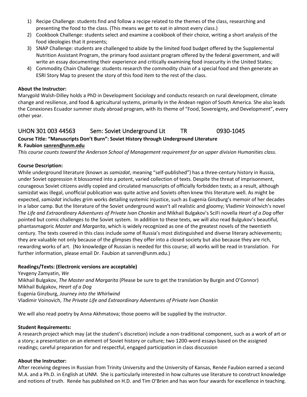- 1) Recipe Challenge: students find and follow a recipe related to the themes of the class, researching and presenting the food to the class. (This means we get to eat in almost every class.)
- 2) Cookbook Challenge: students select and examine a cookbook of their choice, writing a short analysis of the food ideologies that it presents;
- 3) SNAP Challenge: students are challenged to abide by the limited food budget offered by the Supplemental Nutrition Assistant Program, the primary food assistant program offered by the federal government, and will write an essay documenting their experience and critically examining food insecurity in the United States;
- 4) Commodity Chain Challenge: students research the commodity chain of a special food and then generate an ESRI Story Map to present the story of this food item to the rest of the class.

#### **About the Instructor:**

Marygold Walsh-Dilley holds a PhD in Development Sociology and conducts research on rural development, climate change and resilience, and food & agricultural systems, primarily in the Andean region of South America. She also leads the Conexiones Ecuador summer study abroad program, with its theme of "Food, Sovereignty, and Development", every other year.

#### <span id="page-25-0"></span>UHON 301 003 44563 Sem: Soviet Underground Lit TR 0930-1045

#### **Course Title: "Manuscripts Don't Burn": Soviet History through Underground Literature R. Faubion [sanren@unm.edu](mailto:sanren@unm.edu)**

*This course counts toward the Anderson School of Management requirement for an upper division Humanities class.*

#### **Course Description:**

While underground literature (known as *samizdat*, meaning "self-published") has a three-century history in Russia, under Soviet oppression it blossomed into a potent, varied collection of texts. Despite the threat of imprisonment, courageous Soviet citizens avidly copied and circulated manuscripts of officially forbidden texts; as a result, although samizdat was illegal, unofficial publication was quite active and Soviets often knew this literature well. As might be expected, *samizdat* includes grim works detailing systemic injustice, such as Eugenia Ginzburg's memoir of her decades in a labor camp. But the literature of the Soviet underground wasn't all realistic and gloomy; Vladimir Voinovich's novel *The Life and Extraordinary Adventures of Private Ivan Chonkin* and Mikhail Bulgakov's SciFi novella *Heart of a Dog* offer pointed but comic challenges to the Soviet system. In addition to these texts, we will also read Bulgukov's beautiful, phantasmagoric *Master and Margarita*, which is widely recognized as one of the greatest novels of the twentieth century. The texts covered in this class include some of Russia's most distinguished and diverse literary achievements; they are valuable not only because of the glimpses they offer into a closed society but also because they are rich, rewarding works of art. (No knowledge of Russian is needed for this course; all works will be read in translation. For further information, please email Dr. Faubion at sanren@unm.edu.)

#### **Readings/Texts: (Electronic versions are acceptable)**

Yevgeny Zamyatin, *We* Mikhail Bulgakov, *The Master and Margarita* (Please be sure to get the translation by Burgin and O'Connor) Mikhail Bulgakov, *Heart of a Dog* Eugenia Ginzburg, *Journey into the Whirlwind* Vladimir Voinovich, *The Private Life and Extraordinary Adventures of Private Ivan Chonkin*

We will also read poetry by Anna Akhmatova; those poems will be supplied by the instructor.

#### **Student Requirements:**

A research project which may (at the student's discretion) include a non-traditional component, such as a work of art or a story; a presentation on an element of Soviet history or culture; two 1200-word essays based on the assigned readings; careful preparation for and respectful, engaged participation in class discussion

#### **About the Instructor:**

After receiving degrees in Russian from Trinity University and the University of Kansas, Renée Faubion earned a second M.A. and a Ph.D. in English at UNM. She is particularly interested in how cultures use literature to construct knowledge and notions of truth. Renée has published on H.D. and Tim O'Brien and has won four awards for excellence in teaching.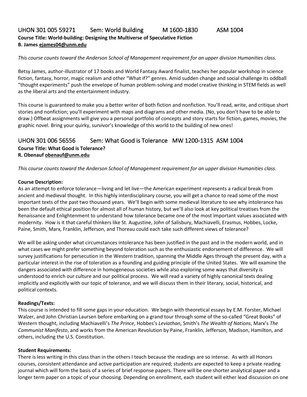#### <span id="page-26-0"></span>UHON 301 005 59271 Sem: World Building M 1600-1830 ASM 1004 **Course Title: World-building: Designing the Multiverse of Speculative Fiction B. James [ejames04@unm.edu](mailto:ejames04@unm.edu)**

*This course counts toward the Anderson School of Management requirement for an upper division Humanities class.*

Betsy James, author-illustrator of 17 books and World Fantasy Award finalist, teaches her popular workshop in science fiction, fantasy, horror, magic realism and other "What if?" genres. Amid sudden change and social challenge its oddball "thought experiments" push the envelope of human problem-solving and model creative thinking in STEM fields as well as the liberal arts and the entertainment industry.

This course is guaranteed to make you a better writer of both fiction and nonfiction. You'll read, write, and critique short stories and nonfiction; you'll experiment with maps and diagrams and other media. (No, you don't have to be able to draw.) Offbeat assignments will give you a personal portfolio of concepts and story starts for fiction, games, movies, the graphic novel. Bring your quirky, survivor's knowledge of this world to the building of new ones!

#### <span id="page-26-1"></span>UHON 301 006 56556 Sem: What Good is Tolerance MW 1200-1315 ASM 1004 **Course Title: What Good is Tolerance? R. Obenau[f obenauf@unm.edu](mailto:obenauf@unm.edu)**

*This course counts toward the Anderson School of Management requirement for an upper division Humanities class.*

#### **Course Description:**

As an attempt to enforce tolerance—living and let live—the American experiment represents a radical break from ancient and medieval thought. In this highly interdisciplinary course, you will get a chance to read some of the most important texts of the past two thousand years. We'll begin with some medieval literature to see why intolerance has been the default ethical position for almost all of human history, but we'll also look at key political treatises from the Renaissance and Enlightenment to understand how tolerance became one of the most important values associated with modernity. How is it that careful thinkers like St. Augustine, John of Salisbury, Machiavelli, Erasmus, Hobbes, Locke, Paine, Smith, Marx, Franklin, Jefferson, and Thoreau could each take such different views of tolerance?

We will be asking under what circumstances intolerance has been justified in the past and in the modern world, and in what cases we might prefer something beyond toleration such as the enthusiastic endorsement of difference. We will survey justifications for persecution in the Western tradition, spanning the Middle Ages through the present day, with a particular interest in the rise of toleration as a founding and guiding principle of the United States. We will examine the dangers associated with difference in homogeneous societies while also exploring some ways that diversity is understood to enrich our culture and our political process. We will read a variety of highly canonical texts dealing implicitly and explicitly with our topic of tolerance, and we will discuss them in their literary, social, historical, and political contexts.

#### **Readings/Texts:**

This course is intended to fill some gaps in your education. We begin with theoretical essays by E.M. Forster, Michael Walzer, and John Christian Laursen before embarking on a grand tour through some of the so-called "Great Books" of Western thought, including Machiavelli's *The Prince*, Hobbes's *Leviathan*, Smith's *The Wealth of Nations*, Marx's *The Communist Manifesto*, and works from the American Revolution by Paine, Franklin, Jefferson, Madison, Hamilton, and others, including the U.S. Constitution.

#### **Student Requirements:**

There is less writing in this class than in the others I teach because the readings are so intense. As with all Honors courses, consistent attendance and active participation are required; students are expected to keep a private reading journal which will form the basis of a series of brief response papers. There will be one shorter analytical paper and a longer term paper on a topic of your choosing. Depending on enrollment, each student will either lead discussion on one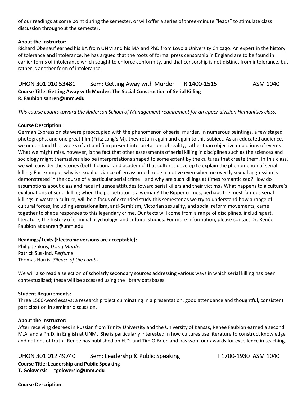of our readings at some point during the semester, or will offer a series of three-minute "leads" to stimulate class discussion throughout the semester.

#### **About the Instructor:**

Richard Obenauf earned his BA from UNM and his MA and PhD from Loyola University Chicago. An expert in the history of tolerance and intolerance, he has argued that the roots of formal press censorship in England are to be found in earlier forms of intolerance which sought to enforce conformity, and that censorship is not distinct from intolerance, but rather is another form of intolerance.

#### <span id="page-27-0"></span>UHON 301 010 53481 Sem: Getting Away with Murder TR 1400-1515 ASM 1040 **Course Title: Getting Away with Murder: The Social Construction of Serial Killing R. Faubion [sanren@unm.edu](mailto:sanren@unm.edu)**

*This course counts toward the Anderson School of Management requirement for an upper division Humanities class.*

#### **Course Description:**

German Expressionists were preoccupied with the phenomenon of serial murder. In numerous paintings, a few staged photographs, and one great film (Fritz Lang's *M*), they return again and again to this subject. As an educated audience, we understand that works of art and film present interpretations of reality, rather than objective depictions of events. What we might miss, however, is the fact that other assessments of serial killing in disciplines such as the sciences and sociology might themselves also be interpretations shaped to some extent by the cultures that create them. In this class, we will consider the stories (both fictional and academic) that cultures develop to explain the phenomenon of serial killing. For example, why is sexual deviance often assumed to be a motive even when no overtly sexual aggression is demonstrated in the course of a particular serial crime—and why are such killings at times romanticized? How do assumptions about class and race influence attitudes toward serial killers and their victims? What happens to a culture's explanations of serial killing when the perpetrator is a woman? The Ripper crimes, perhaps the most famous serial killings in western culture, will be a focus of extended study this semester as we try to understand how a range of cultural forces, including sensationalism, anti-Semitism, Victorian sexuality, and social reform movements, came together to shape responses to this legendary crime. Our texts will come from a range of disciplines, including art, literature, the history of criminal psychology, and cultural studies. For more information, please contact Dr. Renée Faubion at sanren@unm.edu.

#### **Readings/Texts (Electronic versions are acceptable):**

Philip Jenkins, *Using Murder* Patrick Suskind, *Perfume* Thomas Harris, *Silence of the Lambs*

We will also read a selection of scholarly secondary sources addressing various ways in which serial killing has been contextualized; these will be accessed using the library databases.

#### **Student Requirements:**

Three 1500-word essays; a research project culminating in a presentation; good attendance and thoughtful, consistent participation in seminar discussion.

#### **About the Instructor:**

After receiving degrees in Russian from Trinity University and the University of Kansas, Renée Faubion earned a second M.A. and a Ph.D. in English at UNM. She is particularly interested in how cultures use literature to construct knowledge and notions of truth. Renée has published on H.D. and Tim O'Brien and has won four awards for excellence in teaching.

#### <span id="page-27-1"></span>UHON 301 012 49740 Sem: Leadershp & Public Speaking T 1700-1930 ASM 1040

**Course Title: Leadership and Public Speaking T. Goloversic tgoloversic@unm.edu**

#### **Course Description:**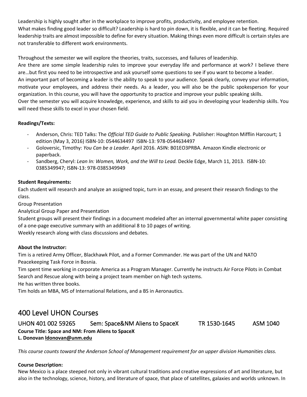Leadership is highly sought after in the workplace to improve profits, productivity, and employee retention. What makes finding good leader so difficult? Leadership is hard to pin down, it is flexible, and it can be fleeting. Required leadership traits are almost impossible to define for every situation. Making things even more difficult is certain styles are not transferable to different work environments.

Throughout the semester we will explore the theories, traits, successes, and failures of leadership.

Are there are some simple leadership rules to improve your everyday life and performance at work? I believe there are…but first you need to be introspective and ask yourself some questions to see if you want to become a leader.

An important part of becoming a leader is the ability to speak to your audience. Speak clearly, convey your information, motivate your employees, and address their needs. As a leader, you will also be the public spokesperson for your organization. In this course, you will have the opportunity to practice and improve your public speaking skills. Over the semester you will acquire knowledge, experience, and skills to aid you in developing your leadership skills. You

will need these skills to excel in your chosen field.

#### **Readings/Texts:**

- Anderson, Chris: TED Talks: The *Official TED Guide to Public Speaking*. Publisher: Houghton Mifflin Harcourt; 1 edition (May 3, 2016) ISBN-10: 0544634497 ISBN-13: 978-0544634497
- Goloversic, Timothy: *You Can be a Leader.* April 2016. ASIN: B01EO3PRBA. Amazon Kindle electronic or paperback.
- Sandberg, Cheryl: *Lean In: Women, Work, and the Will to Lead.* Deckle Edge, March 11, 2013. ISBN-10: 0385349947; ISBN-13: 978-0385349949

#### **Student Requirements:**

Each student will research and analyze an assigned topic, turn in an essay, and present their research findings to the class.

Group Presentation

Analytical Group Paper and Presentation

Student groups will present their findings in a document modeled after an internal governmental white paper consisting of a one-page executive summary with an additional 8 to 10 pages of writing. Weekly research along with class discussions and debates.

#### **About the Instructor:**

Tim is a retired Army Officer, Blackhawk Pilot, and a Former Commander. He was part of the UN and NATO Peacekeeping Task Force in Bosnia.

Tim spent time working in corporate America as a Program Manager. Currently he instructs Air Force Pilots in Combat Search and Rescue along with being a project team member on high tech systems.

He has written three books.

Tim holds an MBA, MS of International Relations, and a BS in Aeronautics.

### <span id="page-28-0"></span>400 Level UHON Courses

<span id="page-28-1"></span>UHON 401 002 59265 Sem: Space&NM Aliens to SpaceX TR 1530-1645 ASM 1040 **Course Title: Space and NM: From Aliens to SpaceX L. Donovan [ldonovan@unm.edu](mailto:ldonovan@unm.edu)**

*This course counts toward the Anderson School of Management requirement for an upper division Humanities class.*

#### **Course Description:**

New Mexico is a place steeped not only in vibrant cultural traditions and creative expressions of art and literature, but also in the technology, science, history, and literature of space, that place of satellites, galaxies and worlds unknown. In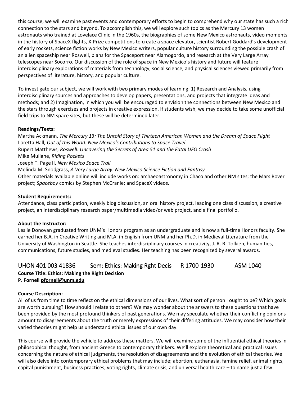this course, we will examine past events and contemporary efforts to begin to comprehend why our state has such a rich connection to the stars and beyond. To accomplish this, we will explore such topics as the Mercury 13 women astronauts who trained at Lovelace Clinic in the 1960s, the biographies of some New Mexico astronauts, video moments in the history of SpaceX flights, X-Prize competitions to create a space elevator, scientist Robert Goddard's development of early rockets, science fiction works by New Mexico writers, popular culture history surrounding the possible crash of an alien spaceship near Roswell, plans for the Spaceport near Alamogordo, and research at the Very Large Array telescopes near Socorro. Our discussion of the role of space in New Mexico's history and future will feature interdisciplinary explorations of materials from technology, social science, and physical sciences viewed primarily from perspectives of literature, history, and popular culture.

To investigate our subject, we will work with two primary modes of learning: 1) Research and Analysis, using interdisciplinary sources and approaches to develop papers, presentations, and projects that integrate ideas and methods; and 2) Imagination, in which you will be encouraged to envision the connections between New Mexico and the stars through exercises and projects in creative expression. If students wish, we may decide to take some unofficial field trips to NM space sites, but these will be determined later.

#### **Readings/Texts:**

Martha Ackmann, *The Mercury 13: The Untold Story of Thirteen American Women and the Dream of Space Flight* Loretta Hall, *Out of this World: New Mexico's Contributions to Space Travel* Rupert Matthews, *Roswell: Uncovering the Secrets of Area 51 and the Fatal UFO Crash* Mike Mullane, *Riding Rockets* Joseph T. Page II, *New Mexico Space Trail* Melinda M. Snodgrass, *A Very Large Array: New Mexico Science Fiction and Fantasy* Other materials available online will include works on: archaeoastronomy in Chaco and other NM sites; the Mars Rover project; *Spaceboy* comics by Stephen McCranie; and SpaceX videos.

#### **Student Requirements:**

Attendance, class participation, weekly blog discussion, an oral history project, leading one class discussion, a creative project, an interdisciplinary research paper/multimedia video/or web project, and a final portfolio.

#### **About the Instructor:**

Leslie Donovan graduated from UNM's Honors program as an undergraduate and is now a full-time Honors faculty. She earned her B.A. in Creative Writing and M.A. in English from UNM and her Ph.D. in Medieval Literature from the University of Washington in Seattle. She teaches interdisciplinary courses in creativity, J. R. R. Tolkien, humanities, communications, future studies, and medieval studies. Her teaching has been recognized by several awards.

#### <span id="page-29-0"></span>UHON 401 003 41836 Sem: Ethics: Making Rght Decis R 1700-1930 ASM 1040

#### **Course Title: Ethics: Making the Right Decision P. Fornell [pfornell@unm.edu](mailto:pfornell@unm.edu)**

#### **Course Description:**

All of us from time to time reflect on the ethical dimensions of our lives. What sort of person I ought to be? Which goals are worth pursuing? How should I relate to others? We may wonder about the answers to these questions that have been provided by the most profound thinkers of past generations. We may speculate whether their conflicting opinions amount to disagreements about the truth or merely expressions of their differing attitudes. We may consider how their varied theories might help us understand ethical issues of our own day.

This course will provide the vehicle to address these matters. We will examine some of the influential ethical theories in philosophical thought, from ancient Greece to contemporary thinkers. We'll explore theoretical and practical issues concerning the nature of ethical judgments, the resolution of disagreements and the evolution of ethical theories. We will also delve into contemporary ethical problems that may include; abortion, euthanasia, famine relief, animal rights, capital punishment, business practices, voting rights, climate crisis, and universal health care – to name just a few.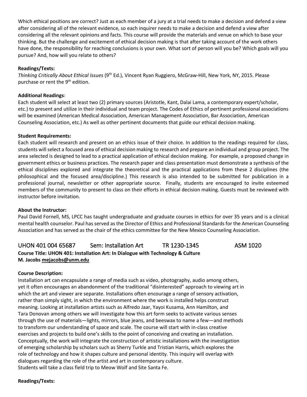Which ethical positions are correct? Just as each member of a jury at a trial needs to make a decision and defend a view after considering all of the relevant evidence, so each inquirer needs to make a decision and defend a view after considering all the relevant opinions and facts. This course will provide the materials and venue on which to base your thinking. But the challenge and excitement of ethical decision making is that after taking account of the work others have done, the responsibility for reaching conclusions is your own. What sort of person will you be? Which goals will you pursue? And, how will you relate to others?

#### **Readings/Texts:**

*Thinking Critically About Ethical Issues* (9th Ed.), Vincent Ryan Ruggiero, McGraw-Hill, New York, NY, 2015. Please purchase or rent the 9<sup>th</sup> edition.

#### **Additional Readings**:

Each student will select at least two (2) primary sources (Aristotle, Kant, Dalai Lama, a contemporary expert/scholar, etc.) to present and utilize in their individual and team project. The Codes of Ethics of pertinent professional associations will be examined (American Medical Association, American Management Association, Bar Association, American Counseling Association, etc.) As well as other pertinent documents that guide our ethical decision making.

#### **Student Requirements:**

Each student will research and present on an ethics issue of their choice. In addition to the readings required for class, students will select a focused area of ethical decision making to research and prepare an individual and group project. The area selected is designed to lead to a practical application of ethical decision making. For example, a proposed change in government ethics or business practices. The research paper and class presentation must demonstrate a synthesis of the ethical disciplines explored and integrate the theoretical and the practical applications from these 2 disciplines (the philosophical and the focused area/discipline.) This research is also intended to be submitted for publication in a professional journal, newsletter or other appropriate source. Finally, students are encouraged to invite esteemed members of the community to present to class on their efforts in ethical decision making. Guests must be reviewed with instructor before invitation.

#### **About the Instructor:**

Paul David Fornell, MS, LPCC has taught undergraduate and graduate courses in ethics for over 35 years and is a clinical mental health counselor. Paul has served as the Director of Ethics and Professional Standards for the American Counseling Association and has served as the chair of the ethics committee for the New Mexico Counseling Association.

### <span id="page-30-0"></span>UHON 401 004 65687 Sem: Installation Art TR 1230-1345 ASM 1020 **Course Title: UHON 401: Installation Art: In Dialogue with Technology & Culture M. Jacobs [mejacobs@unm.edu](mailto:mejacobs@unm.edu)**

#### **Course Description:**

Installation art can encapsulate a range of media such as video, photography, audio among others, yet it often encourages an abandonment of the traditional "disinterested" approach to viewing art in which the art and viewer are separate. Installations often encourage a range of sensory activation, rather than simply sight, in which the environment where the work is installed helps construct meaning. Looking at installation artists such as Alfredo Jaar, Yayoi Kusama, Ann Hamilton, and Tara Donovan among others we will investigate how this art form seeks to activate various senses through the use of materials—lights, mirrors, blue jeans, and beeswax to name a few—and methods to transform our understanding of space and scale. The course will start with in-class creative exercises and projects to build one's skills to the point of conceiving and creating an installation. Conceptually, the work will integrate the construction of artistic installations with the investigation of emerging scholarship by scholars such as Sherry Turkle and Tristian Harris, which explores the role of technology and how it shapes culture and personal identity. This inquiry will overlap with dialogues regarding the role of the artist and art in contemporary culture. Students will take a class field trip to Meow Wolf and Site Santa Fe.

**Readings/Texts:**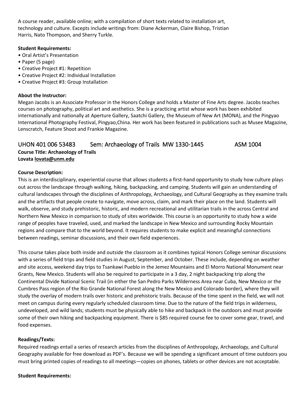A course reader, available online; with a compilation of short texts related to installation art, technology and culture. Excepts include writings from: Diane Ackerman, Claire Bishop, Tristian Harris, Nato Thompson, and Sherry Turkle.

#### **Student Requirements:**

- Oral Artist's Presentation
- Paper (5 page)
- Creative Project #1: Repetition
- Creative Project #2: Individual Installation
- Creative Project #3: Group Installation

#### **About the Instructor:**

Megan Jacobs is an Associate Professor in the Honors College and holds a Master of Fine Arts degree. Jacobs teaches courses on photography, political art and aesthetics. She is a practicing artist whose work has been exhibited internationally and nationally at Aperture Gallery, Saatchi Gallery, the Museum of New Art (MONA), and the Pingyao International Photography Festival, Pingyao,China. Her work has been featured in publications such as Musee Magazine, Lenscratch, Feature Shoot and Frankie Magazine.

#### <span id="page-31-0"></span>UHON 401 006 53483 Sem: Archaeology of Trails MW 1330-1445 ASM 1004

**Course Title: Archaeology of Trails Lovata [lovata@unm.edu](mailto:lovata@unm.edu)**

#### **Course Description:**

This is an interdisciplinary, experiential course that allows students a first-hand opportunity to study how culture plays out across the landscape through walking, hiking, backpacking, and camping. Students will gain an understanding of cultural landscapes through the disciplines of Anthropology, Archaeology, and Cultural Geography as they examine trails and the artifacts that people create to navigate, move across, claim, and mark their place on the land. Students will walk, observe, and study prehistoric, historic, and modern recreational and utilitarian trails in the across Central and Northern New Mexico in comparison to study of sites worldwide. This course is an opportunity to study how a wide range of peoples have traveled, used, and marked the landscape in New Mexico and surrounding Rocky Mountain regions and compare that to the world beyond. It requires students to make explicit and meaningful connections between readings, seminar discussions, and their own field experiences.

This course takes place both inside and outside the classroom as it combines typical Honors College seminar discussions with a series of field trips and field studies in August, September, and October. These include, depending on weather and site access, weekend day trips to Tsankawi Pueblo in the Jemez Mountains and El Morro National Monument near Grants, New Mexico. Students will also be required to participate in a 3 day, 2 night backpacking trip along the Continental Divide National Scenic Trail (in either the San Pedro Parks Wilderness Area near Cuba, New Mexico or the Cumbres Pass region of the Rio Grande National Forest along the New Mexico and Colorado border), where they will study the overlay of modern trails over historic and prehistoric trails. Because of the time spent in the field, we will not meet on campus during every regularly scheduled classroom time. Due to the nature of the field trips in wilderness, undeveloped, and wild lands; students must be physically able to hike and backpack in the outdoors and must provide some of their own hiking and backpacking equipment. There is \$85 required course fee to cover some gear, travel, and food expenses.

#### **Readings/Texts:**

Required readings entail a series of research articles from the disciplines of Anthropology, Archaeology, and Cultural Geography available for free download as PDF's. Because we will be spending a significant amount of time outdoors you must bring printed copies of readings to all meetings—copies on phones, tablets or other devices are not acceptable.